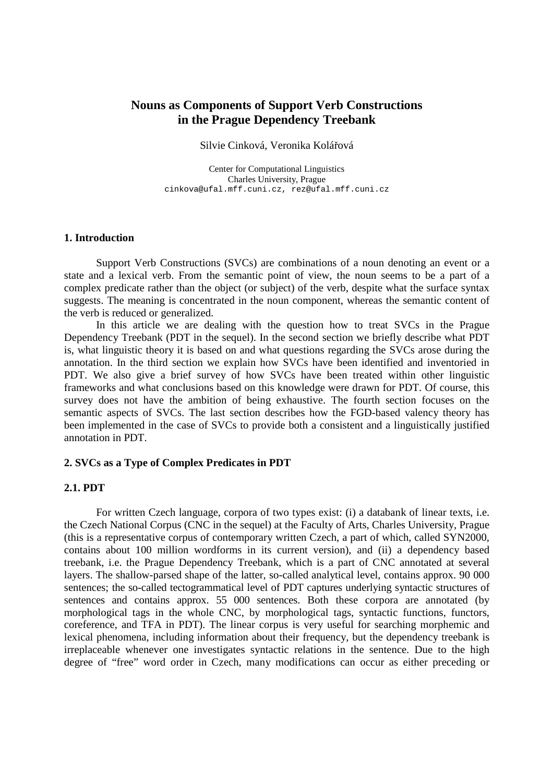# **Nouns as Components of Support Verb Constructions in the Prague Dependency Treebank**

#### Silvie Cinková, Veronika Kolářová

Center for Computational Linguistics Charles University, Prague cinkova@ufal.mff.cuni.cz, rez@ufal.mff.cuni.cz

## **1. Introduction**

 Support Verb Constructions (SVCs) are combinations of a noun denoting an event or a state and a lexical verb. From the semantic point of view, the noun seems to be a part of a complex predicate rather than the object (or subject) of the verb, despite what the surface syntax suggests. The meaning is concentrated in the noun component, whereas the semantic content of the verb is reduced or generalized.

 In this article we are dealing with the question how to treat SVCs in the Prague Dependency Treebank (PDT in the sequel). In the second section we briefly describe what PDT is, what linguistic theory it is based on and what questions regarding the SVCs arose during the annotation. In the third section we explain how SVCs have been identified and inventoried in PDT. We also give a brief survey of how SVCs have been treated within other linguistic frameworks and what conclusions based on this knowledge were drawn for PDT. Of course, this survey does not have the ambition of being exhaustive. The fourth section focuses on the semantic aspects of SVCs. The last section describes how the FGD-based valency theory has been implemented in the case of SVCs to provide both a consistent and a linguistically justified annotation in PDT.

# **2. SVCs as a Type of Complex Predicates in PDT**

## **2.1. PDT**

 For written Czech language, corpora of two types exist: (i) a databank of linear texts, i.e. the Czech National Corpus (CNC in the sequel) at the Faculty of Arts, Charles University, Prague (this is a representative corpus of contemporary written Czech, a part of which, called SYN2000, contains about 100 million wordforms in its current version), and (ii) a dependency based treebank, i.e. the Prague Dependency Treebank, which is a part of CNC annotated at several layers. The shallow-parsed shape of the latter, so-called analytical level, contains approx. 90 000 sentences; the so-called tectogrammatical level of PDT captures underlying syntactic structures of sentences and contains approx. 55 000 sentences. Both these corpora are annotated (by morphological tags in the whole CNC, by morphological tags, syntactic functions, functors, coreference, and TFA in PDT). The linear corpus is very useful for searching morphemic and lexical phenomena, including information about their frequency, but the dependency treebank is irreplaceable whenever one investigates syntactic relations in the sentence. Due to the high degree of "free" word order in Czech, many modifications can occur as either preceding or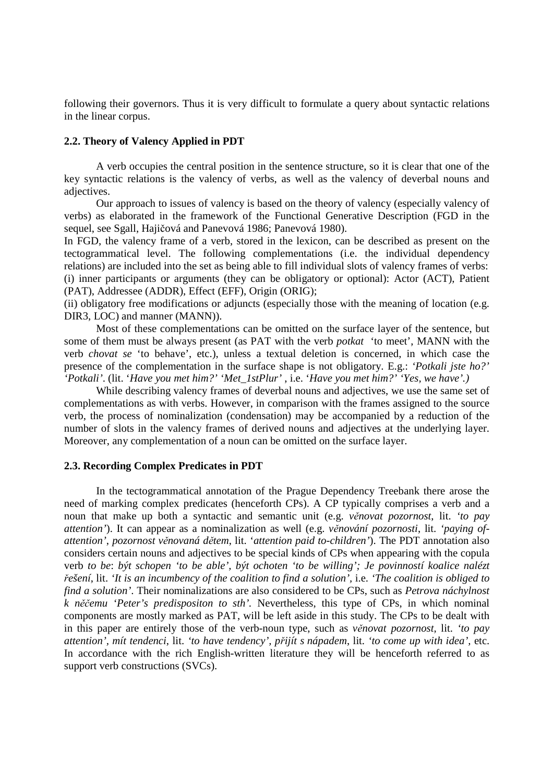following their governors. Thus it is very difficult to formulate a query about syntactic relations in the linear corpus.

#### **2.2. Theory of Valency Applied in PDT**

 A verb occupies the central position in the sentence structure, so it is clear that one of the key syntactic relations is the valency of verbs, as well as the valency of deverbal nouns and adjectives.

 Our approach to issues of valency is based on the theory of valency (especially valency of verbs) as elaborated in the framework of the Functional Generative Description (FGD in the sequel, see Sgall, Hajičová and Panevová 1986; Panevová 1980).

In FGD, the valency frame of a verb, stored in the lexicon, can be described as present on the tectogrammatical level. The following complementations (i.e. the individual dependency relations) are included into the set as being able to fill individual slots of valency frames of verbs: (i) inner participants or arguments (they can be obligatory or optional): Actor (ACT), Patient (PAT), Addressee (ADDR), Effect (EFF), Origin (ORIG);

(ii) obligatory free modifications or adjuncts (especially those with the meaning of location (e.g. DIR3, LOC) and manner (MANN)).

 Most of these complementations can be omitted on the surface layer of the sentence, but some of them must be always present (as PAT with the verb *potkat* 'to meet', MANN with the verb *chovat se* 'to behave', etc.), unless a textual deletion is concerned, in which case the presence of the complementation in the surface shape is not obligatory. E.g.: *'Potkali jste ho?' 'Potkali'*. (lit. '*Have you met him?' 'Met\_1stPlur'* , i.e. '*Have you met him?' 'Yes, we have'.)*

 While describing valency frames of deverbal nouns and adjectives, we use the same set of complementations as with verbs. However, in comparison with the frames assigned to the source verb, the process of nominalization (condensation) may be accompanied by a reduction of the number of slots in the valency frames of derived nouns and adjectives at the underlying layer. Moreover, any complementation of a noun can be omitted on the surface layer.

#### **2.3. Recording Complex Predicates in PDT**

 In the tectogrammatical annotation of the Prague Dependency Treebank there arose the need of marking complex predicates (henceforth CPs). A CP typically comprises a verb and a noun that make up both a syntactic and semantic unit (e.g. *v*ě*novat pozornost*, lit. *'to pay attention'*). It can appear as a nominalization as well (e.g. *v*ě*nování pozornosti*, lit. *'paying ofattention'*, *pozornost v*ě*novaná d*ě*tem*, lit. '*attention paid to-children'*). The PDT annotation also considers certain nouns and adjectives to be special kinds of CPs when appearing with the copula verb *to be*: *být schopen 'to be able', být ochoten 'to be willing'; Je povinností koalice nalézt*  ř*ešení*, lit. *'It is an incumbency of the coalition to find a solution',* i.e. *'The coalition is obliged to find a solution'*. Their nominalizations are also considered to be CPs, such as *Petrova náchylnost k n*ěč*emu 'Peter's predispositon to sth'.* Nevertheless, this type of CPs, in which nominal components are mostly marked as PAT, will be left aside in this study. The CPs to be dealt with in this paper are entirely those of the verb-noun type, such as *v*ě*novat pozornost*, lit. *'to pay attention', mít tendenci*, lit. *'to have tendency', p*ř*ijít s nápadem*, lit. *'to come up with idea',* etc. In accordance with the rich English-written literature they will be henceforth referred to as support verb constructions (SVCs).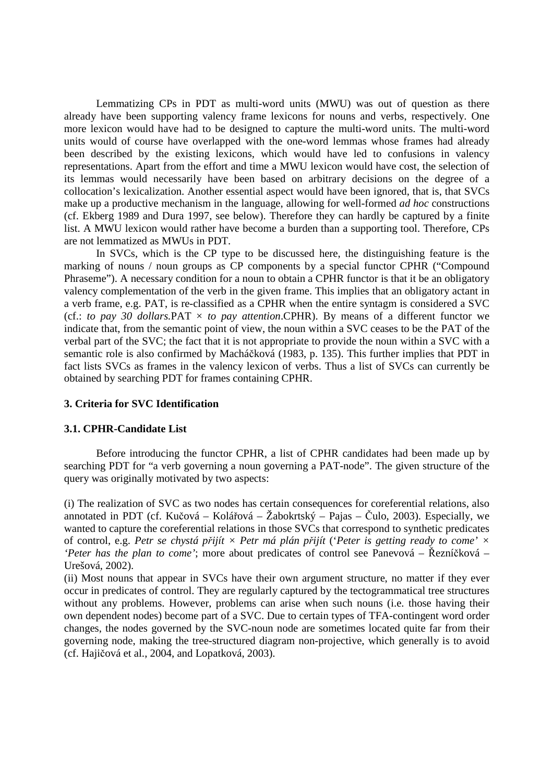Lemmatizing CPs in PDT as multi-word units (MWU) was out of question as there already have been supporting valency frame lexicons for nouns and verbs, respectively. One more lexicon would have had to be designed to capture the multi-word units. The multi-word units would of course have overlapped with the one-word lemmas whose frames had already been described by the existing lexicons, which would have led to confusions in valency representations. Apart from the effort and time a MWU lexicon would have cost, the selection of its lemmas would necessarily have been based on arbitrary decisions on the degree of a collocation's lexicalization. Another essential aspect would have been ignored, that is, that SVCs make up a productive mechanism in the language, allowing for well-formed *ad hoc* constructions (cf. Ekberg 1989 and Dura 1997, see below). Therefore they can hardly be captured by a finite list. A MWU lexicon would rather have become a burden than a supporting tool. Therefore, CPs are not lemmatized as MWUs in PDT.

 In SVCs, which is the CP type to be discussed here, the distinguishing feature is the marking of nouns / noun groups as CP components by a special functor CPHR ("Compound Phraseme"). A necessary condition for a noun to obtain a CPHR functor is that it be an obligatory valency complementation of the verb in the given frame. This implies that an obligatory actant in a verb frame, e.g. PAT, is re-classified as a CPHR when the entire syntagm is considered a SVC (cf.: *to pay 30 dollars.PAT*  $\times$  *to pay attention.CPHR). By means of a different functor we* indicate that, from the semantic point of view, the noun within a SVC ceases to be the PAT of the verbal part of the SVC; the fact that it is not appropriate to provide the noun within a SVC with a semantic role is also confirmed by Macháčková (1983, p. 135). This further implies that PDT in fact lists SVCs as frames in the valency lexicon of verbs. Thus a list of SVCs can currently be obtained by searching PDT for frames containing CPHR.

## **3. Criteria for SVC Identification**

## **3.1. CPHR-Candidate List**

 Before introducing the functor CPHR, a list of CPHR candidates had been made up by searching PDT for "a verb governing a noun governing a PAT-node". The given structure of the query was originally motivated by two aspects:

(i) The realization of SVC as two nodes has certain consequences for coreferential relations, also annotated in PDT (cf. Kučová – Kolářová – Žabokrtský – Pajas – Čulo, 2003). Especially, we wanted to capture the coreferential relations in those SVCs that correspond to synthetic predicates of control, e.g. *Petr se chystá p*ř*ijít × Petr má plán p*ř*ijít* ('*Peter is getting ready to come' × 'Peter has the plan to come'*; more about predicates of control see Panevová – Řezníčková – Urešová, 2002).

(ii) Most nouns that appear in SVCs have their own argument structure, no matter if they ever occur in predicates of control. They are regularly captured by the tectogrammatical tree structures without any problems. However, problems can arise when such nouns (i.e. those having their own dependent nodes) become part of a SVC. Due to certain types of TFA-contingent word order changes, the nodes governed by the SVC-noun node are sometimes located quite far from their governing node, making the tree-structured diagram non-projective, which generally is to avoid (cf. Hajičová et al., 2004, and Lopatková, 2003).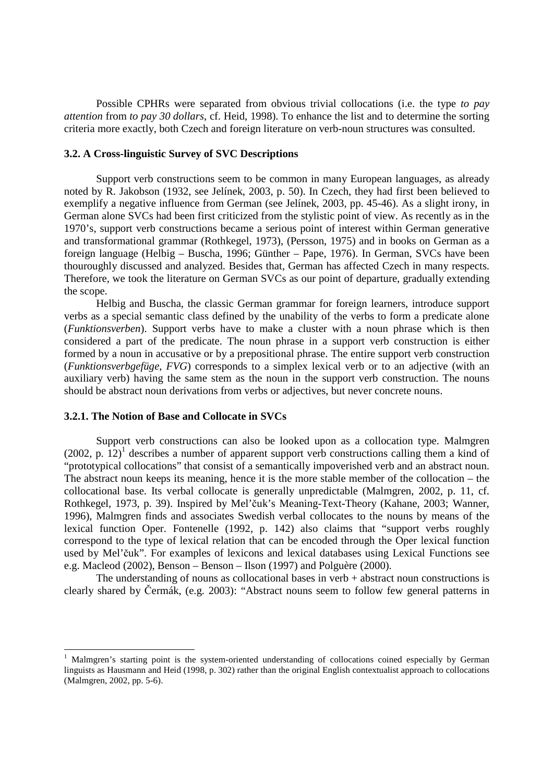Possible CPHRs were separated from obvious trivial collocations (i.e. the type *to pay attention* from *to pay 30 dollars*, cf. Heid, 1998). To enhance the list and to determine the sorting criteria more exactly, both Czech and foreign literature on verb-noun structures was consulted.

#### **3.2. A Cross-linguistic Survey of SVC Descriptions**

 Support verb constructions seem to be common in many European languages, as already noted by R. Jakobson (1932, see Jelínek, 2003, p. 50). In Czech, they had first been believed to exemplify a negative influence from German (see Jelínek, 2003, pp. 45-46). As a slight irony, in German alone SVCs had been first criticized from the stylistic point of view. As recently as in the 1970's, support verb constructions became a serious point of interest within German generative and transformational grammar (Rothkegel, 1973), (Persson, 1975) and in books on German as a foreign language (Helbig – Buscha, 1996; Günther – Pape, 1976). In German, SVCs have been thouroughly discussed and analyzed. Besides that, German has affected Czech in many respects. Therefore, we took the literature on German SVCs as our point of departure, gradually extending the scope.

 Helbig and Buscha, the classic German grammar for foreign learners, introduce support verbs as a special semantic class defined by the unability of the verbs to form a predicate alone (*Funktionsverben*). Support verbs have to make a cluster with a noun phrase which is then considered a part of the predicate. The noun phrase in a support verb construction is either formed by a noun in accusative or by a prepositional phrase. The entire support verb construction (*Funktionsverbgefüge*, *FVG*) corresponds to a simplex lexical verb or to an adjective (with an auxiliary verb) having the same stem as the noun in the support verb construction. The nouns should be abstract noun derivations from verbs or adjectives, but never concrete nouns.

## **3.2.1. The Notion of Base and Collocate in SVCs**

 $\overline{a}$ 

 Support verb constructions can also be looked upon as a collocation type. Malmgren  $(2002, p. 12)^1$  describes a number of apparent support verb constructions calling them a kind of "prototypical collocations" that consist of a semantically impoverished verb and an abstract noun. The abstract noun keeps its meaning, hence it is the more stable member of the collocation – the collocational base. Its verbal collocate is generally unpredictable (Malmgren, 2002, p. 11, cf. Rothkegel, 1973, p. 39). Inspired by Mel'čuk's Meaning-Text-Theory (Kahane, 2003; Wanner, 1996), Malmgren finds and associates Swedish verbal collocates to the nouns by means of the lexical function Oper. Fontenelle (1992, p. 142) also claims that "support verbs roughly correspond to the type of lexical relation that can be encoded through the Oper lexical function used by Mel'čuk". For examples of lexicons and lexical databases using Lexical Functions see e.g. Macleod (2002), Benson – Benson – Ilson (1997) and Polguère (2000).

The understanding of nouns as collocational bases in verb  $+$  abstract noun constructions is clearly shared by Čermák, (e.g. 2003): "Abstract nouns seem to follow few general patterns in

<sup>1</sup> Malmgren's starting point is the system-oriented understanding of collocations coined especially by German linguists as Hausmann and Heid (1998, p. 302) rather than the original English contextualist approach to collocations (Malmgren, 2002, pp. 5-6).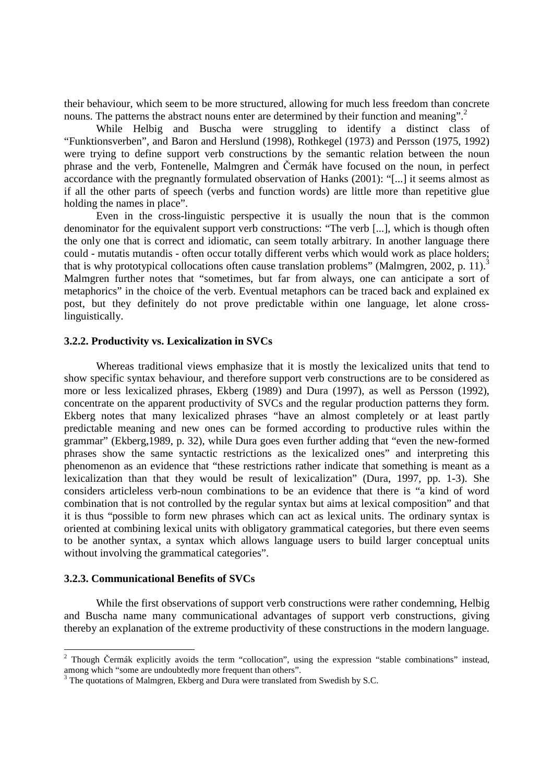their behaviour, which seem to be more structured, allowing for much less freedom than concrete nouns. The patterns the abstract nouns enter are determined by their function and meaning".<sup>2</sup>

 While Helbig and Buscha were struggling to identify a distinct class of "Funktionsverben", and Baron and Herslund (1998), Rothkegel (1973) and Persson (1975, 1992) were trying to define support verb constructions by the semantic relation between the noun phrase and the verb, Fontenelle, Malmgren and Čermák have focused on the noun, in perfect accordance with the pregnantly formulated observation of Hanks (2001): "[...] it seems almost as if all the other parts of speech (verbs and function words) are little more than repetitive glue holding the names in place".

 Even in the cross-linguistic perspective it is usually the noun that is the common denominator for the equivalent support verb constructions: "The verb [...], which is though often the only one that is correct and idiomatic, can seem totally arbitrary. In another language there could - mutatis mutandis - often occur totally different verbs which would work as place holders; that is why prototypical collocations often cause translation problems" (Malmgren, 2002, p. 11).<sup>3</sup> Malmgren further notes that "sometimes, but far from always, one can anticipate a sort of metaphorics" in the choice of the verb. Eventual metaphors can be traced back and explained ex post, but they definitely do not prove predictable within one language, let alone crosslinguistically.

## **3.2.2. Productivity vs. Lexicalization in SVCs**

 Whereas traditional views emphasize that it is mostly the lexicalized units that tend to show specific syntax behaviour, and therefore support verb constructions are to be considered as more or less lexicalized phrases, Ekberg (1989) and Dura (1997), as well as Persson (1992), concentrate on the apparent productivity of SVCs and the regular production patterns they form. Ekberg notes that many lexicalized phrases "have an almost completely or at least partly predictable meaning and new ones can be formed according to productive rules within the grammar" (Ekberg,1989, p. 32), while Dura goes even further adding that "even the new-formed phrases show the same syntactic restrictions as the lexicalized ones" and interpreting this phenomenon as an evidence that "these restrictions rather indicate that something is meant as a lexicalization than that they would be result of lexicalization" (Dura, 1997, pp. 1-3). She considers articleless verb-noun combinations to be an evidence that there is "a kind of word combination that is not controlled by the regular syntax but aims at lexical composition" and that it is thus "possible to form new phrases which can act as lexical units. The ordinary syntax is oriented at combining lexical units with obligatory grammatical categories, but there even seems to be another syntax, a syntax which allows language users to build larger conceptual units without involving the grammatical categories".

## **3.2.3. Communicational Benefits of SVCs**

 While the first observations of support verb constructions were rather condemning, Helbig and Buscha name many communicational advantages of support verb constructions, giving thereby an explanation of the extreme productivity of these constructions in the modern language.

<sup>&</sup>lt;sup>2</sup> Though Čermák explicitly avoids the term "collocation", using the expression "stable combinations" instead, among which "some are undoubtedly more frequent than others".

<sup>&</sup>lt;sup>3</sup> The quotations of Malmgren, Ekberg and Dura were translated from Swedish by S.C.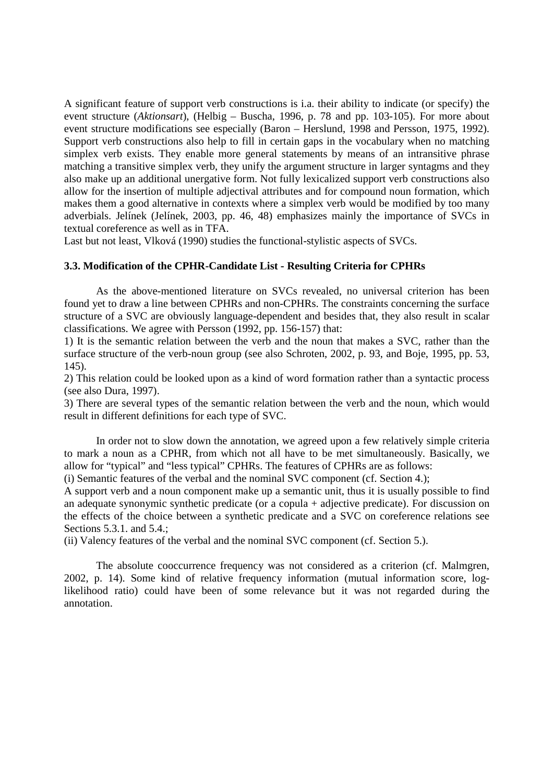A significant feature of support verb constructions is i.a. their ability to indicate (or specify) the event structure (*Aktionsart*), (Helbig – Buscha, 1996, p. 78 and pp. 103-105). For more about event structure modifications see especially (Baron – Herslund, 1998 and Persson, 1975, 1992). Support verb constructions also help to fill in certain gaps in the vocabulary when no matching simplex verb exists. They enable more general statements by means of an intransitive phrase matching a transitive simplex verb, they unify the argument structure in larger syntagms and they also make up an additional unergative form. Not fully lexicalized support verb constructions also allow for the insertion of multiple adjectival attributes and for compound noun formation, which makes them a good alternative in contexts where a simplex verb would be modified by too many adverbials. Jelínek (Jelínek, 2003, pp. 46, 48) emphasizes mainly the importance of SVCs in textual coreference as well as in TFA.

Last but not least, Vlková (1990) studies the functional-stylistic aspects of SVCs.

## **3.3. Modification of the CPHR-Candidate List - Resulting Criteria for CPHRs**

 As the above-mentioned literature on SVCs revealed, no universal criterion has been found yet to draw a line between CPHRs and non-CPHRs. The constraints concerning the surface structure of a SVC are obviously language-dependent and besides that, they also result in scalar classifications. We agree with Persson (1992, pp. 156-157) that:

1) It is the semantic relation between the verb and the noun that makes a SVC, rather than the surface structure of the verb-noun group (see also Schroten, 2002, p. 93, and Boje, 1995, pp. 53, 145).

2) This relation could be looked upon as a kind of word formation rather than a syntactic process (see also Dura, 1997).

3) There are several types of the semantic relation between the verb and the noun, which would result in different definitions for each type of SVC.

 In order not to slow down the annotation, we agreed upon a few relatively simple criteria to mark a noun as a CPHR, from which not all have to be met simultaneously. Basically, we allow for "typical" and "less typical" CPHRs. The features of CPHRs are as follows:

(i) Semantic features of the verbal and the nominal SVC component (cf. Section 4.);

A support verb and a noun component make up a semantic unit, thus it is usually possible to find an adequate synonymic synthetic predicate (or a copula + adjective predicate). For discussion on the effects of the choice between a synthetic predicate and a SVC on coreference relations see Sections 5.3.1. and 5.4.;

(ii) Valency features of the verbal and the nominal SVC component (cf. Section 5.).

 The absolute cooccurrence frequency was not considered as a criterion (cf. Malmgren, 2002, p. 14). Some kind of relative frequency information (mutual information score, loglikelihood ratio) could have been of some relevance but it was not regarded during the annotation.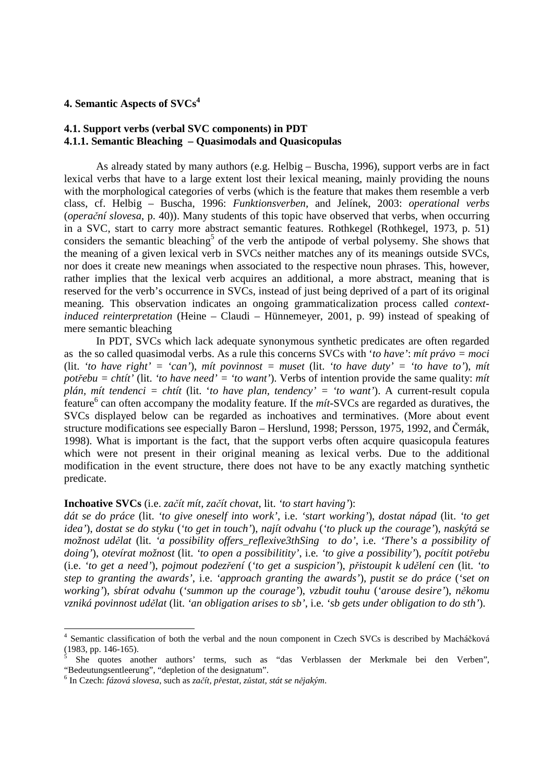# **4. Semantic Aspects of SVCs<sup>4</sup>**

# **4.1. Support verbs (verbal SVC components) in PDT 4.1.1. Semantic Bleaching – Quasimodals and Quasicopulas**

 As already stated by many authors (e.g. Helbig – Buscha, 1996), support verbs are in fact lexical verbs that have to a large extent lost their lexical meaning, mainly providing the nouns with the morphological categories of verbs (which is the feature that makes them resemble a verb class, cf. Helbig – Buscha, 1996: *Funktionsverben,* and Jelínek, 2003: *operational verbs* (*opera*č*ní slovesa*, p. 40)). Many students of this topic have observed that verbs, when occurring in a SVC, start to carry more abstract semantic features. Rothkegel (Rothkegel, 1973, p. 51) considers the semantic bleaching<sup>5</sup> of the verb the antipode of verbal polysemy. She shows that the meaning of a given lexical verb in SVCs neither matches any of its meanings outside SVCs, nor does it create new meanings when associated to the respective noun phrases. This, however, rather implies that the lexical verb acquires an additional, a more abstract, meaning that is reserved for the verb's occurrence in SVCs, instead of just being deprived of a part of its original meaning. This observation indicates an ongoing grammaticalization process called *contextinduced reinterpretation* (Heine – Claudi – Hünnemeyer, 2001, p. 99) instead of speaking of mere semantic bleaching

 In PDT, SVCs which lack adequate synonymous synthetic predicates are often regarded as the so called quasimodal verbs. As a rule this concerns SVCs with '*to have'*: *mít právo = moci*  (lit. *'to have right' = 'can'*), *mít povinnost = muset* (lit. *'to have duty' = 'to have to'*), *mít pot*ř*ebu = chtít'* (lit. *'to have need' = 'to want'*). Verbs of intention provide the same quality: *mít plán, mít tendenci = chtít* (lit. '*to have plan, tendency' = 'to want'*). A current-result copula feature<sup>6</sup> can often accompany the modality feature. If the *mít*-SVCs are regarded as duratives, the SVCs displayed below can be regarded as inchoatives and terminatives. (More about event structure modifications see especially Baron – Herslund, 1998; Persson, 1975, 1992, and Čermák, 1998). What is important is the fact, that the support verbs often acquire quasicopula features which were not present in their original meaning as lexical verbs. Due to the additional modification in the event structure, there does not have to be any exactly matching synthetic predicate.

#### **Inchoative SVCs** (i.e. *za*č*ít mít, za*č*ít chovat*, lit. *'to start having'*):

*dát se do práce* (lit. *'to give oneself into work'*, i.e. *'start working'*), *dostat nápad* (lit. *'to get idea'*), *dostat se do styku* (*'to get in touch'*), *najít odvahu* (*'to pluck up the courage'*), *naskýtá se možnost ud*ě*lat* (lit. *'a possibility offers\_reflexive3thSing to do'*, i.e. *'There's a possibility of doing'*), *otevírat možnost* (lit. *'to open a possibilitity'*, i.e. *'to give a possibility'*), *pocítit pot*ř*ebu* (i.e. *'to get a need'*), *pojmout podez*ř*ení* (*'to get a suspicion'*), *p*ř*istoupit k ud*ě*lení cen* (lit. *'to step to granting the awards'*, i.e. *'approach granting the awards'*)*, pustit se do práce* (*'set on working'*), *sbírat odvahu* (*'summon up the courage'*), *vzbudit touhu* (*'arouse desire'*), *n*ě*komu vzniká povinnost ud*ě*lat* (lit. *'an obligation arises to sb'*, i.e. *'sb gets under obligation to do sth'*).

 4 Semantic classification of both the verbal and the noun component in Czech SVCs is described by Macháčková (1983, pp. 146-165).

<sup>5</sup> She quotes another authors' terms, such as "das Verblassen der Merkmale bei den Verben", "Bedeutungsentleerung", "depletion of the designatum".

<sup>6</sup> In Czech: *fázová slovesa*, such as *za*č*ít, p*ř*estat, z*ů*stat, stát se n*ě*jakým*.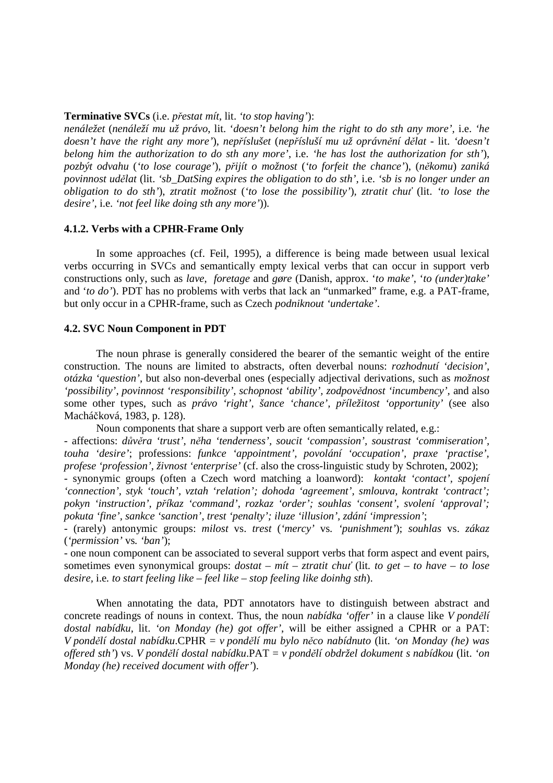#### **Terminative SVCs** (i.e. *p*ř*estat mít*, lit. *'to stop having'*):

*nenáležet* (*nenáleží mu už právo*, lit. '*doesn't belong him the right to do sth any more',* i.e. *'he doesn't have the right any more'*), *nep*ř*íslušet* (*nep*ř*ísluší mu už oprávn*ě*ní d*ě*lat -* lit. *'doesn't belong him the authorization to do sth any more'*, i.e. *'he has lost the authorization for sth'*), *pozbýt odvahu* (*'to lose courage'*)*, p*ř*ijít o možnost* (*'to forfeit the chance'*), (*n*ě*komu*) *zaniká povinnost ud*ě*lat* (lit. *'sb\_DatSing expires the obligation to do sth',* i.e. *'sb is no longer under an obligation to do sth'*), *ztratit možnost* (*'to lose the possibility'*)*, ztratit chu*ť (lit. *'to lose the desire',* i.e. *'not feel like doing sth any more'*))*.* 

#### **4.1.2. Verbs with a CPHR-Frame Only**

 In some approaches (cf. Feil, 1995), a difference is being made between usual lexical verbs occurring in SVCs and semantically empty lexical verbs that can occur in support verb constructions only, such as *lave*, *foretage* and *gøre* (Danish, approx. '*to make'*, '*to (under)take'* and '*to do'*). PDT has no problems with verbs that lack an "unmarked" frame, e.g. a PAT-frame, but only occur in a CPHR-frame, such as Czech *podniknout 'undertake'*.

#### **4.2. SVC Noun Component in PDT**

 The noun phrase is generally considered the bearer of the semantic weight of the entire construction. The nouns are limited to abstracts, often deverbal nouns: *rozhodnutí 'decision', otázka 'question'*, but also non-deverbal ones (especially adjectival derivations, such as *možnost 'possibility', povinnost 'responsibility', schopnost 'ability', zodpov*ě*dnost 'incumbency',* and also some other types, such as *právo 'right', šance 'chance', p*ř*íležitost 'opportunity'* (see also Macháčková, 1983, p. 128).

 Noun components that share a support verb are often semantically related, e.g.: - affections: *d*ů*v*ě*ra 'trust', n*ě*ha 'tenderness', soucit 'compassion', soustrast 'commiseration',* 

*touha 'desire'*; professions: *funkce 'appointment', povolání 'occupation', praxe 'practise', profese 'profession', živnost 'enterprise'* (cf. also the cross-linguistic study by Schroten, 2002);

- synonymic groups (often a Czech word matching a loanword): *kontakt 'contact', spojení 'connection', styk 'touch', vztah 'relation'; dohoda 'agreement', smlouva, kontrakt 'contract'; pokyn 'instruction', p*ř*íkaz 'command', rozkaz 'order'; souhlas 'consent', svolení 'approval'; pokuta 'fine', sankce 'sanction', trest 'penalty'; iluze 'illusion', zdání 'impression'*;

- (rarely) antonymic groups: *milost* vs. *trest* (*'mercy'* vs*. 'punishment'*); *souhlas* vs. *zákaz*  (*'permission'* vs*. 'ban'*);

- one noun component can be associated to several support verbs that form aspect and event pairs, sometimes even synonymical groups: *dostat – mít – ztratit chu*ť (lit*. to get – to have – to lose desire,* i.e*. to start feeling like – feel like – stop feeling like doinhg sth*).

 When annotating the data, PDT annotators have to distinguish between abstract and concrete readings of nouns in context. Thus, the noun *nabídka 'offer'* in a clause like *V pond*ě*lí dostal nabídku*, lit. *'on Monday (he) got offer'*, will be either assigned a CPHR or a PAT: *V pond*ě*lí dostal nabídku*.CPHR = *v pond*ě*lí mu bylo n*ě*co nabídnuto* (lit. *'on Monday (he) was offered sth'*) vs. *V pond*ě*lí dostal nabídku*.PAT = *v pond*ě*lí obdržel dokument s nabídkou* (lit. *'on Monday (he) received document with offer'*).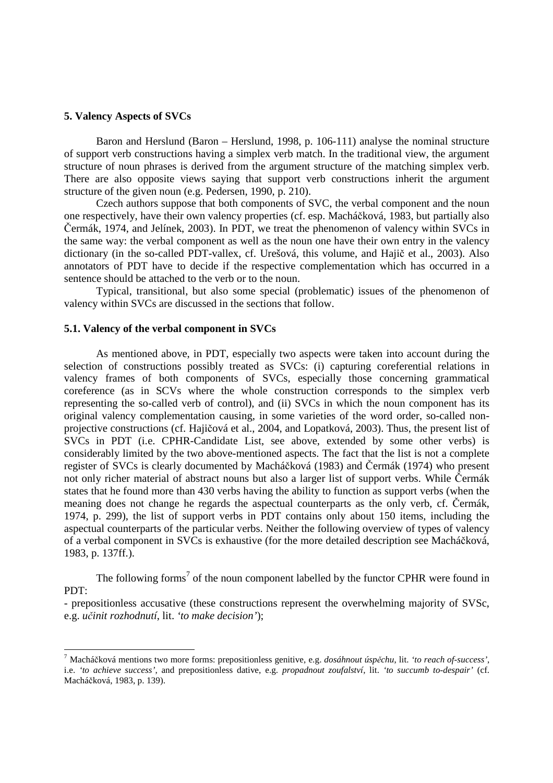## **5. Valency Aspects of SVCs**

 $\overline{a}$ 

Baron and Herslund (Baron – Herslund, 1998, p. 106-111) analyse the nominal structure of support verb constructions having a simplex verb match. In the traditional view, the argument structure of noun phrases is derived from the argument structure of the matching simplex verb. There are also opposite views saying that support verb constructions inherit the argument structure of the given noun (e.g. Pedersen, 1990, p. 210).

 Czech authors suppose that both components of SVC, the verbal component and the noun one respectively, have their own valency properties (cf. esp. Macháčková, 1983, but partially also Čermák, 1974, and Jelínek, 2003). In PDT, we treat the phenomenon of valency within SVCs in the same way: the verbal component as well as the noun one have their own entry in the valency dictionary (in the so-called PDT-vallex, cf. Urešová, this volume, and Hajič et al., 2003). Also annotators of PDT have to decide if the respective complementation which has occurred in a sentence should be attached to the verb or to the noun.

 Typical, transitional, but also some special (problematic) issues of the phenomenon of valency within SVCs are discussed in the sections that follow.

#### **5.1. Valency of the verbal component in SVCs**

 As mentioned above, in PDT, especially two aspects were taken into account during the selection of constructions possibly treated as SVCs: (i) capturing coreferential relations in valency frames of both components of SVCs, especially those concerning grammatical coreference (as in SCVs where the whole construction corresponds to the simplex verb representing the so-called verb of control), and (ii) SVCs in which the noun component has its original valency complementation causing, in some varieties of the word order, so-called nonprojective constructions (cf. Hajičová et al., 2004, and Lopatková, 2003). Thus, the present list of SVCs in PDT (i.e. CPHR-Candidate List, see above, extended by some other verbs) is considerably limited by the two above-mentioned aspects. The fact that the list is not a complete register of SVCs is clearly documented by Macháčková (1983) and Čermák (1974) who present not only richer material of abstract nouns but also a larger list of support verbs. While Čermák states that he found more than 430 verbs having the ability to function as support verbs (when the meaning does not change he regards the aspectual counterparts as the only verb, cf. Čermák, 1974, p. 299), the list of support verbs in PDT contains only about 150 items, including the aspectual counterparts of the particular verbs. Neither the following overview of types of valency of a verbal component in SVCs is exhaustive (for the more detailed description see Macháčková, 1983, p. 137ff.).

The following forms<sup>7</sup> of the noun component labelled by the functor CPHR were found in PDT:

- prepositionless accusative (these constructions represent the overwhelming majority of SVSc, e.g. *u*č*init rozhodnutí*, lit. *'to make decision'*);

<sup>7</sup> Macháčková mentions two more forms: prepositionless genitive, e.g. *dosáhnout úsp*ě*chu*, lit. *'to reach of-success'*, i.e. *'to achieve success'*, and prepositionless dative, e.g. *propadnout zoufalství*, lit. *'to succumb to-despair'* (cf. Macháčková, 1983, p. 139).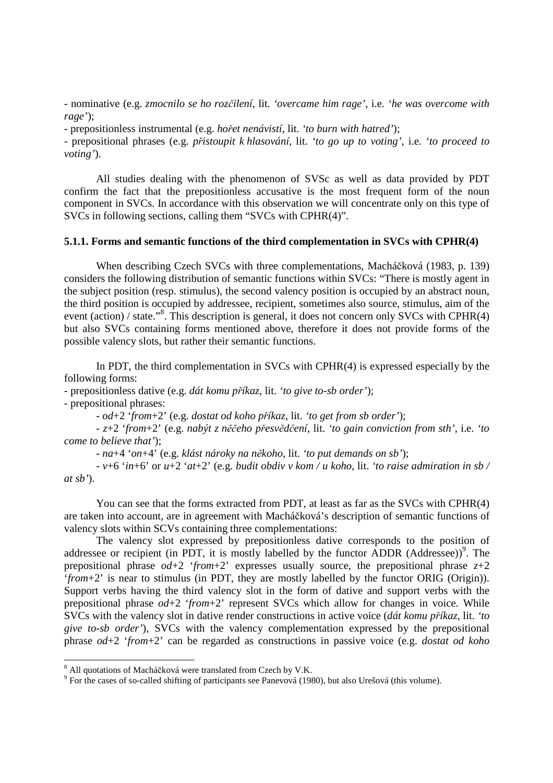- nominative (e.g. *zmocnilo se ho roz*č*ilení*, lit. *'overcame him rage'*, i.e. *'he was overcome with rage'*);

- prepositionless instrumental (e.g. *ho*ř*et nenávistí*, lit. *'to burn with hatred'*);

- prepositional phrases (e.g. *p*ř*istoupit k hlasování*, lit. *'to go up to voting'*, i.e. *'to proceed to voting'*).

All studies dealing with the phenomenon of SVSc as well as data provided by PDT confirm the fact that the prepositionless accusative is the most frequent form of the noun component in SVCs. In accordance with this observation we will concentrate only on this type of SVCs in following sections, calling them "SVCs with CPHR(4)".

#### **5.1.1. Forms and semantic functions of the third complementation in SVCs with CPHR(4)**

 When describing Czech SVCs with three complementations, Macháčková (1983, p. 139) considers the following distribution of semantic functions within SVCs: "There is mostly agent in the subject position (resp. stimulus), the second valency position is occupied by an abstract noun, the third position is occupied by addressee, recipient, sometimes also source, stimulus, aim of the event (action) / state."<sup>8</sup>. This description is general, it does not concern only SVCs with CPHR(4) but also SVCs containing forms mentioned above, therefore it does not provide forms of the possible valency slots, but rather their semantic functions.

In PDT, the third complementation in SVCs with CPHR(4) is expressed especially by the following forms:

- prepositionless dative (e.g. *dát komu p*ř*íkaz*, lit. *'to give to-sb order'*);

- prepositional phrases:

 $\overline{a}$ 

- *od*+2 '*from*+2' (e.g. *dostat od koho p*ř*íkaz*, lit. *'to get from sb order'*);

 - *z*+2 '*from*+2' (e.g. *nabýt z n*ěč*eho p*ř*esv*ě*d*č*ení*, lit. *'to gain conviction from sth'*, i.e. *'to come to believe that'*);

- *na*+4 '*on*+4' (e.g. *klást nároky na n*ě*koho*, lit. *'to put demands on sb'*);

 - *v*+6 '*in*+6' or *u*+2 '*at*+2' (e.g. *budit obdiv v kom / u koho*, lit. *'to raise admiration in sb / at sb'*).

You can see that the forms extracted from PDT, at least as far as the SVCs with CPHR(4) are taken into account, are in agreement with Macháčková's description of semantic functions of valency slots within SCVs containing three complementations:

 The valency slot expressed by prepositionless dative corresponds to the position of addressee or recipient (in PDT, it is mostly labelled by the functor  $\widehat{ADDR}$  (Addressee))<sup>9</sup>. The prepositional phrase  $od+2$  '*from*+2' expresses usually source, the prepositional phrase  $z+2$ '*from*+2' is near to stimulus (in PDT, they are mostly labelled by the functor ORIG (Origin)). Support verbs having the third valency slot in the form of dative and support verbs with the prepositional phrase *od*+2 '*from*+2' represent SVCs which allow for changes in voice. While SVCs with the valency slot in dative render constructions in active voice (*dát komu p*ř*íkaz*, lit. *'to give to-sb order'*), SVCs with the valency complementation expressed by the prepositional phrase *od*+2 '*from*+2' can be regarded as constructions in passive voice (e.g. *dostat od koho* 

<sup>&</sup>lt;sup>8</sup> All quotations of Macháčková were translated from Czech by V.K.

<sup>&</sup>lt;sup>9</sup> For the cases of so-called shifting of participants see Panevová (1980), but also Urešová (this volume).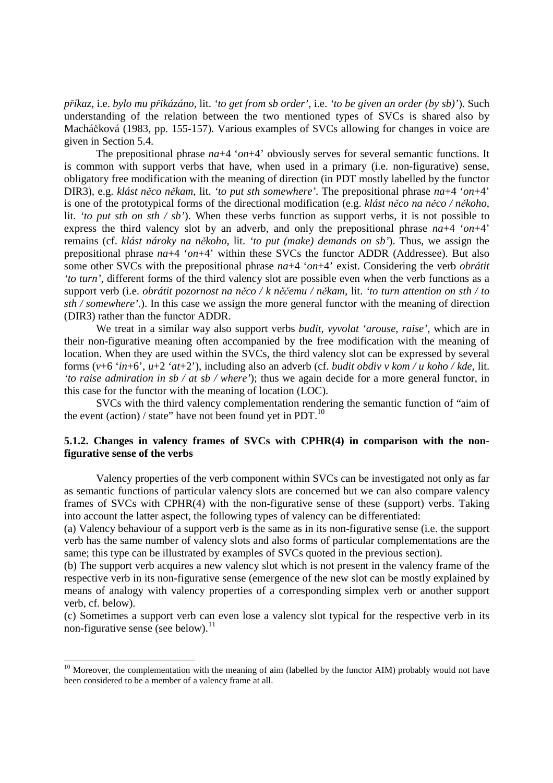*p*ř*íkaz*, i.e. *bylo mu p*ř*ikázáno*, lit. *'to get from sb order'*, i.e. *'to be given an order (by sb)'*). Such understanding of the relation between the two mentioned types of SVCs is shared also by Macháčková (1983, pp. 155-157). Various examples of SVCs allowing for changes in voice are given in Section 5.4.

 The prepositional phrase *na*+4 '*on*+4' obviously serves for several semantic functions. It is common with support verbs that have, when used in a primary (i.e. non-figurative) sense, obligatory free modification with the meaning of direction (in PDT mostly labelled by the functor DIR3), e.g. *klást n*ě*co n*ě*kam*, lit. *'to put sth somewhere'*. The prepositional phrase *na*+4 '*on*+4' is one of the prototypical forms of the directional modification (e.g. *klást n*ě*co na n*ě*co / n*ě*koho*, lit. *'to put sth on sth / sb'*). When these verbs function as support verbs, it is not possible to express the third valency slot by an adverb, and only the prepositional phrase *na*+4 '*on*+4' remains (cf. *klást nároky na n*ě*koho*, lit. *'to put (make) demands on sb'*). Thus, we assign the prepositional phrase *na*+4 '*on*+4' within these SVCs the functor ADDR (Addressee). But also some other SVCs with the prepositional phrase *na*+4 '*on*+4' exist. Considering the verb *obrátit 'to turn'*, different forms of the third valency slot are possible even when the verb functions as a support verb (i.e. *obrátit pozornost na n*ě*co / k n*ěč*emu / n*ě*kam*, lit. *'to turn attention on sth / to sth / somewhere'*.). In this case we assign the more general functor with the meaning of direction (DIR3) rather than the functor ADDR.

We treat in a similar way also support verbs *budit, vyvolat 'arouse, raise'*, which are in their non-figurative meaning often accompanied by the free modification with the meaning of location. When they are used within the SVCs, the third valency slot can be expressed by several forms (*v*+6 '*in*+6', *u*+2 '*at*+2'), including also an adverb (cf. *budit obdiv v kom / u koho / kde*, lit. *'to raise admiration in sb / at sb / where'*); thus we again decide for a more general functor, in this case for the functor with the meaning of location (LOC).

 SVCs with the third valency complementation rendering the semantic function of "aim of the event (action) / state" have not been found yet in PDT. $^{10}$ 

## **5.1.2. Changes in valency frames of SVCs with CPHR(4) in comparison with the nonfigurative sense of the verbs**

 Valency properties of the verb component within SVCs can be investigated not only as far as semantic functions of particular valency slots are concerned but we can also compare valency frames of SVCs with CPHR(4) with the non-figurative sense of these (support) verbs. Taking into account the latter aspect, the following types of valency can be differentiated:

(a) Valency behaviour of a support verb is the same as in its non-figurative sense (i.e. the support verb has the same number of valency slots and also forms of particular complementations are the same; this type can be illustrated by examples of SVCs quoted in the previous section).

(b) The support verb acquires a new valency slot which is not present in the valency frame of the respective verb in its non-figurative sense (emergence of the new slot can be mostly explained by means of analogy with valency properties of a corresponding simplex verb or another support verb, cf. below).

(c) Sometimes a support verb can even lose a valency slot typical for the respective verb in its non-figurative sense (see below).<sup>11</sup>

 $\overline{a}$ 

<sup>&</sup>lt;sup>10</sup> Moreover, the complementation with the meaning of aim (labelled by the functor AIM) probably would not have been considered to be a member of a valency frame at all.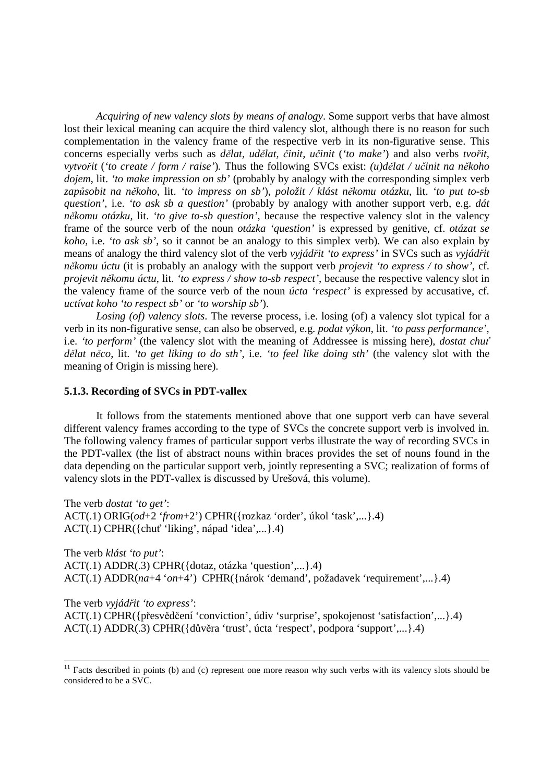*Acquiring of new valency slots by means of analogy*. Some support verbs that have almost lost their lexical meaning can acquire the third valency slot, although there is no reason for such complementation in the valency frame of the respective verb in its non-figurative sense. This concerns especially verbs such as *d*ě*lat, ud*ě*lat,* č*init, u*č*init* (*'to make'*) and also verbs *tvo*ř*it, vytvo*ř*it* (*'to create / form / raise'*)*.* Thus the following SVCs exist: *(u)d*ě*lat / u*č*init na n*ě*koho dojem*, lit. *'to make impression on sb'* (probably by analogy with the corresponding simplex verb *zap*ů*sobit na n*ě*koho*, lit. *'to impress on sb'*), *položit / klást n*ě*komu otázku*, lit. *'to put to-sb question'*, i.e. *'to ask sb a question'* (probably by analogy with another support verb, e.g. *dát n*ě*komu otázku*, lit. *'to give to-sb question',* because the respective valency slot in the valency frame of the source verb of the noun *otázka 'question'* is expressed by genitive, cf. *otázat se koho*, i.e. *'to ask sb'*, so it cannot be an analogy to this simplex verb). We can also explain by means of analogy the third valency slot of the verb *vyjád*ř*it 'to express'* in SVCs such as *vyjád*ř*it n*ě*komu úctu* (it is probably an analogy with the support verb *projevit 'to express / to show',* cf. *projevit n*ě*komu úctu*, lit. *'to express / show to-sb respect'*, because the respective valency slot in the valency frame of the source verb of the noun *úcta 'respect'* is expressed by accusative, cf. *uctívat koho 'to respect sb'* or *'to worship sb'*).

*Losing (of) valency slots*. The reverse process, i.e. losing (of) a valency slot typical for a verb in its non-figurative sense, can also be observed, e.g. *podat výkon*, lit. *'to pass performance'*, i.e. *'to perform'* (the valency slot with the meaning of Addressee is missing here), *dostat chu*ť *d*ě*lat n*ě*co*, lit. *'to get liking to do sth'*, i.e. *'to feel like doing sth'* (the valency slot with the meaning of Origin is missing here).

#### **5.1.3. Recording of SVCs in PDT-vallex**

 It follows from the statements mentioned above that one support verb can have several different valency frames according to the type of SVCs the concrete support verb is involved in. The following valency frames of particular support verbs illustrate the way of recording SVCs in the PDT-vallex (the list of abstract nouns within braces provides the set of nouns found in the data depending on the particular support verb, jointly representing a SVC; realization of forms of valency slots in the PDT-vallex is discussed by Urešová, this volume).

The verb *dostat 'to get'*: ACT(.1) ORIG(*od*+2 '*from*+2') CPHR({rozkaz 'order', úkol 'task',...}.4) ACT(.1) CPHR({chuť 'liking', nápad 'idea',...}.4)

The verb *klást 'to put'*: ACT(.1) ADDR(.3) CPHR({dotaz, otázka 'question',...}.4) ACT(.1) ADDR(*na*+4 '*on*+4') CPHR({nárok 'demand', požadavek 'requirement',...}.4)

The verb *vyjád*ř*it 'to express'*:

 $\overline{a}$ 

ACT(.1) CPHR({přesvědčení 'conviction', údiv 'surprise', spokojenost 'satisfaction',...}.4) ACT(.1) ADDR(.3) CPHR({důvěra 'trust', úcta 'respect', podpora 'support',...}.4)

 $11$  Facts described in points (b) and (c) represent one more reason why such verbs with its valency slots should be considered to be a SVC.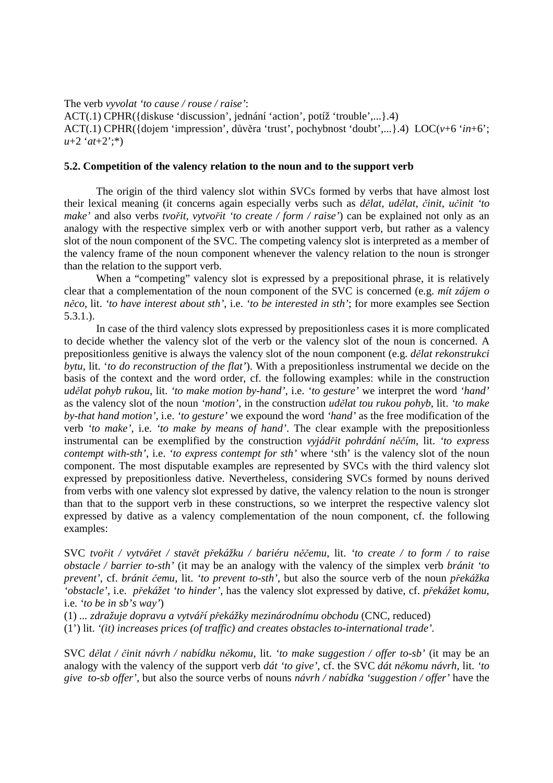The verb *vyvolat 'to cause / rouse / raise'*:

ACT(.1) CPHR({diskuse 'discussion', jednání 'action', potíž 'trouble',...}.4) ACT(.1) CPHR({dojem 'impression', důvěra 'trust', pochybnost 'doubt',...}.4) LOC(*v*+6 '*in*+6'; *u*+2 '*at*+2';\*)

#### **5.2. Competition of the valency relation to the noun and to the support verb**

 The origin of the third valency slot within SVCs formed by verbs that have almost lost their lexical meaning (it concerns again especially verbs such as *d*ě*lat, ud*ě*lat,* č*init, u*č*init 'to make'* and also verbs *tvo*ř*it, vytvo*ř*it 'to create / form / raise'*) can be explained not only as an analogy with the respective simplex verb or with another support verb, but rather as a valency slot of the noun component of the SVC. The competing valency slot is interpreted as a member of the valency frame of the noun component whenever the valency relation to the noun is stronger than the relation to the support verb.

When a "competing" valency slot is expressed by a prepositional phrase, it is relatively clear that a complementation of the noun component of the SVC is concerned (e.g. *mít zájem o n*ě*co*, lit. *'to have interest about sth'*, i.e. *'to be interested in sth'*; for more examples see Section 5.3.1.).

 In case of the third valency slots expressed by prepositionless cases it is more complicated to decide whether the valency slot of the verb or the valency slot of the noun is concerned. A prepositionless genitive is always the valency slot of the noun component (e.g. *d*ě*lat rekonstrukci bytu*, lit. '*to do reconstruction of the flat'*). With a prepositionless instrumental we decide on the basis of the context and the word order, cf. the following examples: while in the construction *ud*ě*lat pohyb rukou*, lit. *'to make motion by-hand'*, i.e. *'to gesture'* we interpret the word *'hand'* as the valency slot of the noun *'motion'*, in the construction *ud*ě*lat tou rukou pohyb*, lit. *'to make by-that hand motion'*, i.e. *'to gesture'* we expound the word *'hand'* as the free modification of the verb *'to make'*, i.e. *'to make by means of hand'*. The clear example with the prepositionless instrumental can be exemplified by the construction *vyjád*ř*it pohrdání n*ěč*ím*, lit. *'to express contempt with-sth'*, i.e. *'to express contempt for sth'* where 'sth' is the valency slot of the noun component. The most disputable examples are represented by SVCs with the third valency slot expressed by prepositionless dative. Nevertheless, considering SVCs formed by nouns derived from verbs with one valency slot expressed by dative, the valency relation to the noun is stronger than that to the support verb in these constructions, so we interpret the respective valency slot expressed by dative as a valency complementation of the noun component, cf. the following examples:

SVC *tvo*ř*it / vytvá*ř*et / stav*ě*t p*ř*ekážku / bariéru n*ěč*emu*, lit. *'to create / to form / to raise obstacle / barrier to-sth'* (it may be an analogy with the valency of the simplex verb *bránit 'to prevent'*, cf. *bránit* č*emu*, lit. *'to prevent to-sth'*, but also the source verb of the noun *p*ř*ekážka 'obstacle'*, i.e. *p*ř*ekážet 'to hinder'*, has the valency slot expressed by dative*,* cf. *p*ř*ekážet komu*, i.e. *'to be in sb's way'*)

(1) *... zdražuje dopravu a vytvá*ř*í p*ř*ekážky mezinárodnímu obchodu* (CNC, reduced) (1') lit. *'(it) increases prices (of traffic) and creates obstacles to-international trade'.*

SVC *d*ě*lat /* č*init návrh / nabídku n*ě*komu*, lit. *'to make suggestion / offer to-sb'* (it may be an analogy with the valency of the support verb *dát 'to give'*, cf. the SVC *dát n*ě*komu návrh*, lit. *'to give to-sb offer'*, but also the source verbs of nouns *návrh / nabídka 'suggestion / offer'* have the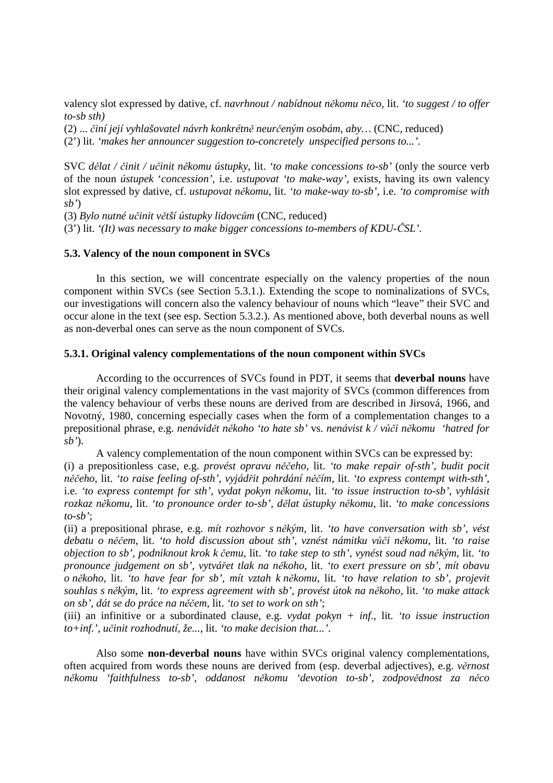valency slot expressed by dative, cf. *navrhnout / nabídnout n*ě*komu n*ě*co*, lit. *'to suggest / to offer to-sb sth)* 

(2) ... č*iní její vyhlašovatel návrh konkrétn*ě *neur*č*eným osobám, aby…* (CNC, reduced)

(2') lit. *'makes her announcer suggestion to-concretely unspecified persons to...'.*

SVC *d*ě*lat /* č*init / u*č*init n*ě*komu ústupky*, lit. *'to make concessions to-sb'* (only the source verb of the noun *ústupek* '*concession'*, i.e. *ustupovat 'to make-way'*, exists, having its own valency slot expressed by dative, cf. *ustupovat n*ě*komu*, lit. *'to make-way to-sb'*, i.e. *'to compromise with sb'*)

(3) *Bylo nutné u*č*init v*ě*tší ústupky lidovc*ů*m* (CNC, reduced)

(3') lit. *'(It) was necessary to make bigger concessions to-members of KDU-*Č*SL'.* 

# **5.3. Valency of the noun component in SVCs**

 In this section, we will concentrate especially on the valency properties of the noun component within SVCs (see Section 5.3.1.). Extending the scope to nominalizations of SVCs, our investigations will concern also the valency behaviour of nouns which "leave" their SVC and occur alone in the text (see esp. Section 5.3.2.). As mentioned above, both deverbal nouns as well as non-deverbal ones can serve as the noun component of SVCs.

## **5.3.1. Original valency complementations of the noun component within SVCs**

 According to the occurrences of SVCs found in PDT, it seems that **deverbal nouns** have their original valency complementations in the vast majority of SVCs (common differences from the valency behaviour of verbs these nouns are derived from are described in Jirsová, 1966, and Novotný, 1980, concerning especially cases when the form of a complementation changes to a prepositional phrase, e.g. *nenávid*ě*t n*ě*koho 'to hate sb'* vs. *nenávist k / v*ůč*i n*ě*komu 'hatred for sb'*).

 A valency complementation of the noun component within SVCs can be expressed by: (i) a prepositionless case, e.g. *provést opravu n*ěč*eho*, lit. *'to make repair of-sth', budit pocit n*ěč*eho*, lit. *'to raise feeling of-sth', vyjád*ř*it pohrdání n*ěč*ím,* lit. *'to express contempt with-sth'*, i.e. *'to express contempt for sth', vydat pokyn n*ě*komu*, lit. *'to issue instruction to-sb', vyhlásit rozkaz n*ě*komu*, lit. *'to pronounce order to-sb', d*ě*lat ústupky n*ě*komu,* lit. *'to make concessions to-sb'*;

(ii) a prepositional phrase, e.g. *mít rozhovor s n*ě*kým*, lit. *'to have conversation with sb', vést debatu o n*ěč*em*, lit. *'to hold discussion about sth', vznést námitku v*ůč*i n*ě*komu*, lit. *'to raise objection to sb', podniknout krok k* č*emu,* lit. *'to take step to sth', vynést soud nad n*ě*kým*, lit. *'to pronounce judgement on sb', vytvá*ř*et tlak na n*ě*koho*, lit. *'to exert pressure on sb', mít obavu o n*ě*koho*, lit. *'to have fear for sb', mít vztah k n*ě*komu*, lit. *'to have relation to sb', projevit souhlas s n*ě*kým*, lit. *'to express agreement with sb', provést útok na n*ě*koho*, lit. *'to make attack on sb', dát se do práce na n*ěč*em*, lit. *'to set to work on sth'*;

(iii) an infinitive or a subordinated clause, e.g. *vydat pokyn + inf.*, lit. *'to issue instruction to+inf.', u*č*init rozhodnutí, že...*, lit. *'to make decision that...'*.

 Also some **non-deverbal nouns** have within SVCs original valency complementations, often acquired from words these nouns are derived from (esp. deverbal adjectives), e.g. *v*ě*rnost n*ě*komu 'faithfulness to-sb', oddanost n*ě*komu 'devotion to-sb', zodpov*ě*dnost za n*ě*co*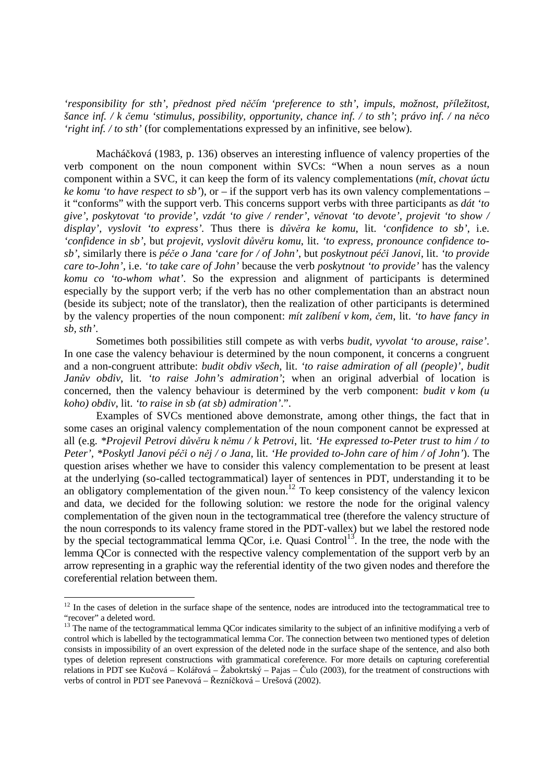*'responsibility for sth', p*ř*ednost p*ř*ed n*ěč*ím 'preference to sth', impuls, možnost, p*ř*íležitost, šance inf. / k* č*emu 'stimulus, possibility, opportunity, chance inf. / to sth'*; *právo inf. / na n*ě*co 'right inf. / to sth'* (for complementations expressed by an infinitive, see below).

 Macháčková (1983, p. 136) observes an interesting influence of valency properties of the verb component on the noun component within SVCs: "When a noun serves as a noun component within a SVC, it can keep the form of its valency complementations (*mít, chovat úctu ke komu 'to have respect to sb'*), or – if the support verb has its own valency complementations – it "conforms" with the support verb. This concerns support verbs with three participants as *dát 'to give', poskytovat 'to provide', vzdát 'to give / render', v*ě*novat 'to devote', projevit 'to show / display', vyslovit 'to express'.* Thus there is *d*ů*v*ě*ra ke komu*, lit. *'confidence to sb'*, i.e. *'confidence in sb'*, but *projevit, vyslovit d*ů*v*ě*ru komu*, lit. *'to express, pronounce confidence tosb'*, similarly there is *pé*č*e o Jana 'care for / of John'*, but *poskytnout pé*č*i Janovi*, lit. *'to provide care to-John'*, i.e. *'to take care of John'* because the verb *poskytnout 'to provide'* has the valency *komu co 'to-whom what'*. So the expression and alignment of participants is determined especially by the support verb; if the verb has no other complementation than an abstract noun (beside its subject; note of the translator), then the realization of other participants is determined by the valency properties of the noun component: *mít zalíbení v kom,* č*em*, lit. *'to have fancy in sb, sth'*.

 Sometimes both possibilities still compete as with verbs *budit, vyvolat 'to arouse, raise'*. In one case the valency behaviour is determined by the noun component, it concerns a congruent and a non-congruent attribute: *budit obdiv všech*, lit. *'to raise admiration of all (people)', budit Jan*ů*v obdiv*, lit. *'to raise John's admiration'*; when an original adverbial of location is concerned, then the valency behaviour is determined by the verb component: *budit v kom (u koho) obdiv*, lit. *'to raise in sb (at sb) admiration'*.".

 Examples of SVCs mentioned above demonstrate, among other things, the fact that in some cases an original valency complementation of the noun component cannot be expressed at all (e.g. *\*Projevil Petrovi d*ů*v*ě*ru k n*ě*mu / k Petrovi*, lit. *'He expressed to-Peter trust to him / to Peter', \*Poskytl Janovi pé*č*i o n*ě*j / o Jana*, lit. *'He provided to-John care of him / of John'*). The question arises whether we have to consider this valency complementation to be present at least at the underlying (so-called tectogrammatical) layer of sentences in PDT, understanding it to be an obligatory complementation of the given noun.<sup>12</sup> To keep consistency of the valency lexicon and data, we decided for the following solution: we restore the node for the original valency complementation of the given noun in the tectogrammatical tree (therefore the valency structure of the noun corresponds to its valency frame stored in the PDT-vallex) but we label the restored node by the special tectogrammatical lemma QCor, i.e. Quasi Control<sup>13</sup>. In the tree, the node with the lemma QCor is connected with the respective valency complementation of the support verb by an arrow representing in a graphic way the referential identity of the two given nodes and therefore the coreferential relation between them.

 $\overline{a}$ 

 $12$  In the cases of deletion in the surface shape of the sentence, nodes are introduced into the tectogrammatical tree to "recover" a deleted word.

<sup>&</sup>lt;sup>13</sup> The name of the tectogrammatical lemma QCor indicates similarity to the subject of an infinitive modifying a verb of control which is labelled by the tectogrammatical lemma Cor. The connection between two mentioned types of deletion consists in impossibility of an overt expression of the deleted node in the surface shape of the sentence, and also both types of deletion represent constructions with grammatical coreference. For more details on capturing coreferential relations in PDT see Kučová – Kolářová – Žabokrtský – Pajas – Čulo (2003), for the treatment of constructions with verbs of control in PDT see Panevová – Řezníčková – Urešová (2002).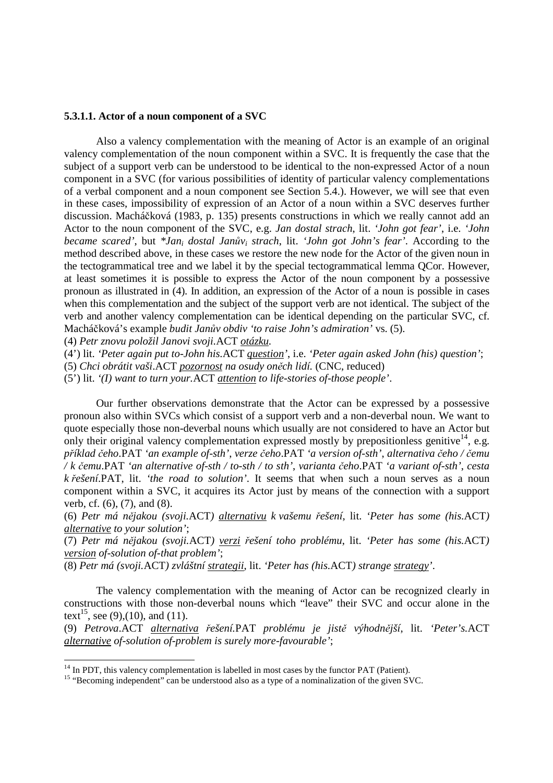## **5.3.1.1. Actor of a noun component of a SVC**

 Also a valency complementation with the meaning of Actor is an example of an original valency complementation of the noun component within a SVC. It is frequently the case that the subject of a support verb can be understood to be identical to the non-expressed Actor of a noun component in a SVC (for various possibilities of identity of particular valency complementations of a verbal component and a noun component see Section 5.4.). However, we will see that even in these cases, impossibility of expression of an Actor of a noun within a SVC deserves further discussion. Macháčková (1983, p. 135) presents constructions in which we really cannot add an Actor to the noun component of the SVC, e.g. *Jan dostal strach*, lit. *'John got fear'*, i.e. *'John became scared'*, but *\*Jani dostal Jan*ů*vi strach*, lit. *'John got John's fear'*. According to the method described above, in these cases we restore the new node for the Actor of the given noun in the tectogrammatical tree and we label it by the special tectogrammatical lemma QCor. However, at least sometimes it is possible to express the Actor of the noun component by a possessive pronoun as illustrated in (4). In addition, an expression of the Actor of a noun is possible in cases when this complementation and the subject of the support verb are not identical. The subject of the verb and another valency complementation can be identical depending on the particular SVC, cf. Macháčková's example *budit Jan*ů*v obdiv 'to raise John's admiration'* vs. (5).

(4) *Petr znovu položil Janovi svoji.*ACT *otázku.* 

 $\overline{a}$ 

(4') lit. *'Peter again put to-John his.*ACT *question'*, i.e. *'Peter again asked John (his) question'*;

(5) *Chci obrátit vaši*.ACT *pozornost na osudy on*ě*ch lidí.* (CNC, reduced)

(5') lit. *'(I) want to turn your.*ACT *attention to life-stories of-those people'*.

 Our further observations demonstrate that the Actor can be expressed by a possessive pronoun also within SVCs which consist of a support verb and a non-deverbal noun. We want to quote especially those non-deverbal nouns which usually are not considered to have an Actor but only their original valency complementation expressed mostly by prepositionless genitive<sup>14</sup>, e.g. *p*ř*íklad* č*eho*.PAT *'an example of-sth'*, *verze* č*eho*.PAT *'a version of-sth'*, *alternativa* č*eho /* č*emu / k* č*emu*.PAT *'an alternative of-sth / to-sth / to sth'*, *varianta* č*eho*.PAT *'a variant of-sth'*, *cesta k* ř*ešení*.PAT, lit. *'the road to solution'*. It seems that when such a noun serves as a noun component within a SVC, it acquires its Actor just by means of the connection with a support verb, cf. (6), (7), and (8).

(6) *Petr má n*ě*jakou (svoji.*ACT*) alternativu k vašemu* ř*ešení*, lit. *'Peter has some (his.*ACT*) alternative to your solution'*;

(7) *Petr má n*ě*jakou (svoji.*ACT*) verzi* ř*ešení toho problému*, lit. *'Peter has some (his.*ACT*) version of-solution of-that problem'*;

(8) *Petr má (svoji.*ACT*) zvláštní strategii*, lit. *'Peter has (his.*ACT*) strange strategy'*.

 The valency complementation with the meaning of Actor can be recognized clearly in constructions with those non-deverbal nouns which "leave" their SVC and occur alone in the text<sup>15</sup>, see (9),(10), and (11).

(9) *Petrova*.ACT *alternativa* ř*ešení.*PAT *problému je jist*ě *výhodn*ě*jší*, lit. *'Peter's.*ACT *alternative of-solution of-problem is surely more-favourable'*;

 $14$  In PDT, this valency complementation is labelled in most cases by the functor PAT (Patient).

<sup>&</sup>lt;sup>15</sup> "Becoming independent" can be understood also as a type of a nominalization of the given SVC.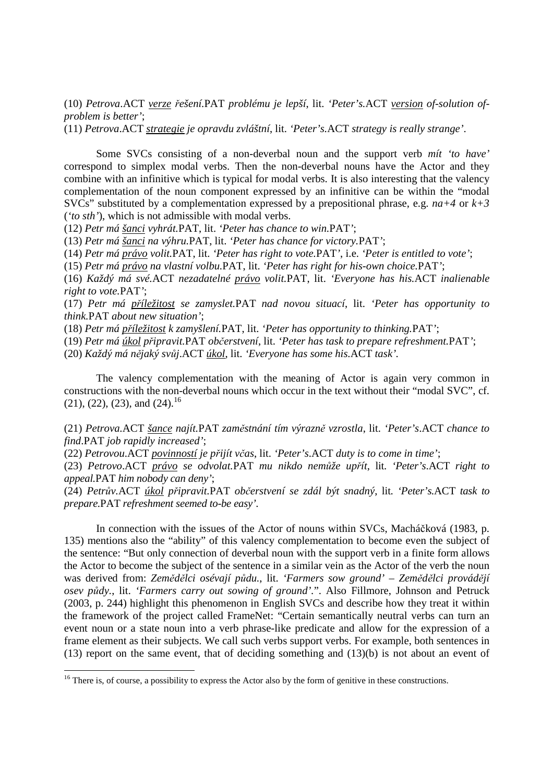(10) *Petrova*.ACT *verze* ř*ešení.*PAT *problému je lepší*, lit. *'Peter's.*ACT *version of-solution ofproblem is better'*;

(11) *Petrova*.ACT *strategie je opravdu zvláštní*, lit. *'Peter's.*ACT *strategy is really strange'*.

 Some SVCs consisting of a non-deverbal noun and the support verb *mít 'to have'* correspond to simplex modal verbs. Then the non-deverbal nouns have the Actor and they combine with an infinitive which is typical for modal verbs. It is also interesting that the valency complementation of the noun component expressed by an infinitive can be within the "modal SVCs" substituted by a complementation expressed by a prepositional phrase, e.g.  $na+4$  or  $k+3$ (*'to sth'*), which is not admissible with modal verbs.

(12) *Petr má šanci vyhrát.*PAT, lit. *'Peter has chance to win.*PAT*'*;

(13) *Petr má šanci na výhru.*PAT, lit. *'Peter has chance for victory.*PAT*'*;

(14) *Petr má právo volit.*PAT, lit. *'Peter has right to vote.*PAT*'*, i.e. *'Peter is entitled to vote'*;

(15) *Petr má právo na vlastní volbu.*PAT, lit. *'Peter has right for his-own choice.*PAT*'*;

(16) *Každý má své.*ACT *nezadatelné právo volit.*PAT, lit. *'Everyone has his.*ACT *inalienable right to vote.*PAT*'*;

(17) *Petr má p*ř*íležitost se zamyslet.*PAT *nad novou situací*, lit. *'Peter has opportunity to think.*PAT *about new situation'*;

(18) *Petr má p*ř*íležitost k zamyšlení.*PAT, lit. *'Peter has opportunity to thinking.*PAT*'*;

(19) *Petr má úkol p*ř*ipravit.*PAT *ob*č*erstvení*, lit. *'Peter has task to prepare refreshment.*PAT*'*;

(20) *Každý má n*ě*jaký sv*ů*j*.ACT *úkol*, lit. *'Everyone has some his.*ACT *task'.*

The valency complementation with the meaning of Actor is again very common in constructions with the non-deverbal nouns which occur in the text without their "modal SVC", cf.  $(21)$ ,  $(22)$ ,  $(23)$ , and  $(24)$ .<sup>16</sup>

(21) *Petrova.*ACT *šance najít.*PAT *zam*ě*stnání tím výrazn*ě *vzrostla*, lit. *'Peter's*.ACT *chance to find*.PAT *job rapidly increased'*;

(22) *Petrovou*.ACT *povinností je p*ř*ijít v*č*as*, lit. *'Peter's*.ACT *duty is to come in time'*;

(23) *Petrovo*.ACT *právo se odvolat.*PAT *mu nikdo nem*ů*že up*ř*ít*, lit. *'Peter's*.ACT *right to appeal.*PAT *him nobody can deny'*;

(24) *Petr*ů*v.*ACT *úkol p*ř*ipravit.*PAT *ob*č*erstvení se zdál být snadný*, lit. *'Peter's.*ACT *task to prepare.*PAT *refreshment seemed to-be easy'.*

 In connection with the issues of the Actor of nouns within SVCs, Macháčková (1983, p. 135) mentions also the "ability" of this valency complementation to become even the subject of the sentence: "But only connection of deverbal noun with the support verb in a finite form allows the Actor to become the subject of the sentence in a similar vein as the Actor of the verb the noun was derived from: *Zem*ě*d*ě*lci osévají p*ů*du.*, lit. *'Farmers sow ground' – Zem*ě*d*ě*lci provád*ě*jí osev p*ů*dy.*, lit. *'Farmers carry out sowing of ground'.*". Also Fillmore, Johnson and Petruck (2003, p. 244) highlight this phenomenon in English SVCs and describe how they treat it within the framework of the project called FrameNet: "Certain semantically neutral verbs can turn an event noun or a state noun into a verb phrase-like predicate and allow for the expression of a frame element as their subjects. We call such verbs support verbs. For example, both sentences in (13) report on the same event, that of deciding something and (13)(b) is not about an event of

 $16$  There is, of course, a possibility to express the Actor also by the form of genitive in these constructions.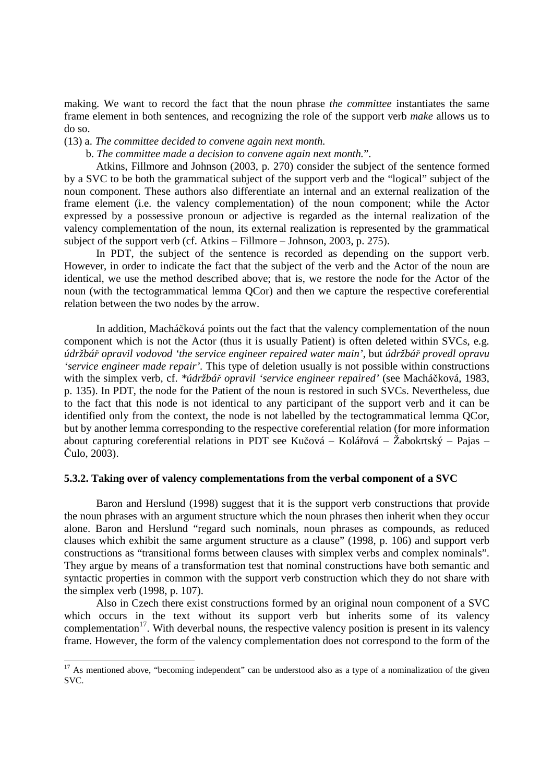making. We want to record the fact that the noun phrase *the committee* instantiates the same frame element in both sentences, and recognizing the role of the support verb *make* allows us to do so.

(13) a. *The committee decided to convene again next month.*

b. *The committee made a decision to convene again next month.*".

Atkins, Fillmore and Johnson (2003, p. 270) consider the subject of the sentence formed by a SVC to be both the grammatical subject of the support verb and the "logical" subject of the noun component. These authors also differentiate an internal and an external realization of the frame element (i.e. the valency complementation) of the noun component; while the Actor expressed by a possessive pronoun or adjective is regarded as the internal realization of the valency complementation of the noun, its external realization is represented by the grammatical subject of the support verb (cf. Atkins – Fillmore – Johnson, 2003, p. 275).

 In PDT, the subject of the sentence is recorded as depending on the support verb. However, in order to indicate the fact that the subject of the verb and the Actor of the noun are identical, we use the method described above; that is, we restore the node for the Actor of the noun (with the tectogrammatical lemma QCor) and then we capture the respective coreferential relation between the two nodes by the arrow.

 In addition, Macháčková points out the fact that the valency complementation of the noun component which is not the Actor (thus it is usually Patient) is often deleted within SVCs, e.g. *údržbá*ř *opravil vodovod 'the service engineer repaired water main'*, but *údržbá*ř *provedl opravu 'service engineer made repair'.* This type of deletion usually is not possible within constructions with the simplex verb, cf. *\*údržbá*ř *opravil 'service engineer repaired'* (see Macháčková, 1983, p. 135). In PDT, the node for the Patient of the noun is restored in such SVCs. Nevertheless, due to the fact that this node is not identical to any participant of the support verb and it can be identified only from the context, the node is not labelled by the tectogrammatical lemma QCor, but by another lemma corresponding to the respective coreferential relation (for more information about capturing coreferential relations in PDT see Kučová – Kolářová – Žabokrtský – Pajas – Čulo, 2003).

## **5.3.2. Taking over of valency complementations from the verbal component of a SVC**

 Baron and Herslund (1998) suggest that it is the support verb constructions that provide the noun phrases with an argument structure which the noun phrases then inherit when they occur alone. Baron and Herslund "regard such nominals, noun phrases as compounds, as reduced clauses which exhibit the same argument structure as a clause" (1998, p. 106) and support verb constructions as "transitional forms between clauses with simplex verbs and complex nominals". They argue by means of a transformation test that nominal constructions have both semantic and syntactic properties in common with the support verb construction which they do not share with the simplex verb (1998, p. 107).

 Also in Czech there exist constructions formed by an original noun component of a SVC which occurs in the text without its support verb but inherits some of its valency complementation<sup>17</sup>. With deverbal nouns, the respective valency position is present in its valency frame. However, the form of the valency complementation does not correspond to the form of the

 $\overline{a}$ 

<sup>&</sup>lt;sup>17</sup> As mentioned above, "becoming independent" can be understood also as a type of a nominalization of the given SVC.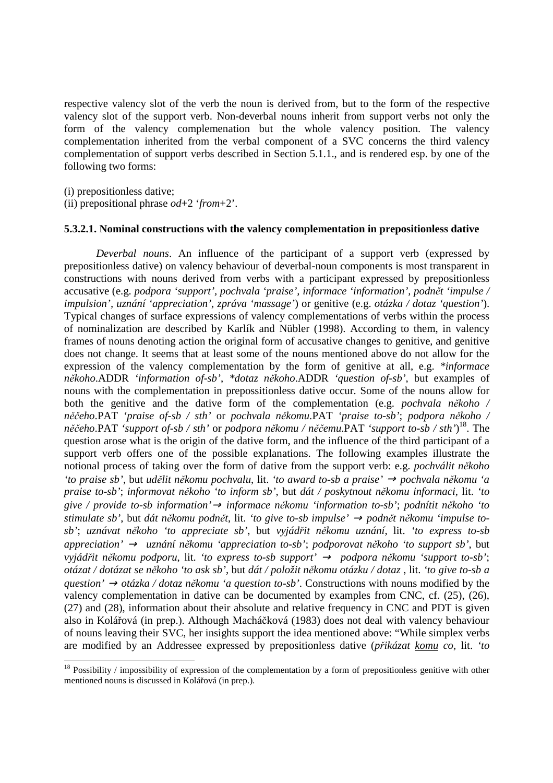respective valency slot of the verb the noun is derived from, but to the form of the respective valency slot of the support verb. Non-deverbal nouns inherit from support verbs not only the form of the valency complemenation but the whole valency position. The valency complementation inherited from the verbal component of a SVC concerns the third valency complementation of support verbs described in Section 5.1.1., and is rendered esp. by one of the following two forms:

(i) prepositionless dative;

 $\overline{a}$ 

(ii) prepositional phrase *od*+2 '*from*+2'.

#### **5.3.2.1. Nominal constructions with the valency complementation in prepositionless dative**

*Deverbal nouns*. An influence of the participant of a support verb (expressed by prepositionless dative) on valency behaviour of deverbal-noun components is most transparent in constructions with nouns derived from verbs with a participant expressed by prepositionless accusative (e.g. *podpora 'support', pochvala 'praise', informace 'information', podn*ě*t 'impulse / impulsion', uznání 'appreciation', zpráva 'massage'*) or genitive (e.g. *otázka / dotaz 'question'*). Typical changes of surface expressions of valency complementations of verbs within the process of nominalization are described by Karlík and Nübler (1998). According to them, in valency frames of nouns denoting action the original form of accusative changes to genitive, and genitive does not change. It seems that at least some of the nouns mentioned above do not allow for the expression of the valency complementation by the form of genitive at all, e.g. *\*informace n*ě*koho*.ADDR *'information of-sb'*, *\*dotaz n*ě*koho*.ADDR *'question of-sb'*, but examples of nouns with the complementation in prepossitionless dative occur. Some of the nouns allow for both the genitive and the dative form of the complementation (e.g. *pochvala n*ě*koho / n*ěč*eho*.PAT *'praise of-sb / sth'* or *pochvala n*ě*komu*.PAT *'praise to-sb'*; *podpora n*ě*koho / n*ěč*eho*.PAT *'support of-sb / sth'* or *podpora n*ě*komu / n*ěč*emu*.PAT *'support to-sb / sth'*) <sup>18</sup>. The question arose what is the origin of the dative form, and the influence of the third participant of a support verb offers one of the possible explanations. The following examples illustrate the notional process of taking over the form of dative from the support verb: e.g. *pochválit n*ě*koho 'to praise sb'*, but *ud*ě*lit n*ě*komu pochvalu*, lit. *'to award to-sb a praise'* → *pochvala n*ě*komu 'a praise to-sb'*; *informovat n*ě*koho 'to inform sb'*, but *dát / poskytnout n*ě*komu informaci*, lit. *'to give / provide to-sb information'*→ *informace n*ě*komu 'information to-sb'*; *podnítit n*ě*koho 'to stimulate sb'*, but *dát n*ě*komu podn*ě*t*, lit. *'to give to-sb impulse'* → *podn*ě*t n*ě*komu 'impulse tosb'*; *uznávat n*ě*koho 'to appreciate sb'*, but *vyjád*ř*it n*ě*komu uznání*, lit. *'to express to-sb appreciation'* → *uznání n*ě*komu 'appreciation to-sb'*; *podporovat n*ě*koho 'to support sb'*, but *vyjád*ř*it n*ě*komu podporu*, lit. *'to express to-sb support'* → *podpora n*ě*komu 'support to-sb'*; *otázat / dotázat se n*ě*koho 'to ask sb'*, but *dát / položit n*ě*komu otázku / dotaz* , lit. *'to give to-sb a question'* → *otázka / dotaz n*ě*komu 'a question to-sb'*. Constructions with nouns modified by the valency complementation in dative can be documented by examples from CNC, cf. (25), (26), (27) and (28), information about their absolute and relative frequency in CNC and PDT is given also in Kolářová (in prep.). Although Macháčková (1983) does not deal with valency behaviour of nouns leaving their SVC, her insights support the idea mentioned above: "While simplex verbs are modified by an Addressee expressed by prepositionless dative (*p*ř*ikázat komu co*, lit. *'to* 

 $18$  Possibility / impossibility of expression of the complementation by a form of prepositionless genitive with other mentioned nouns is discussed in Kolářová (in prep.).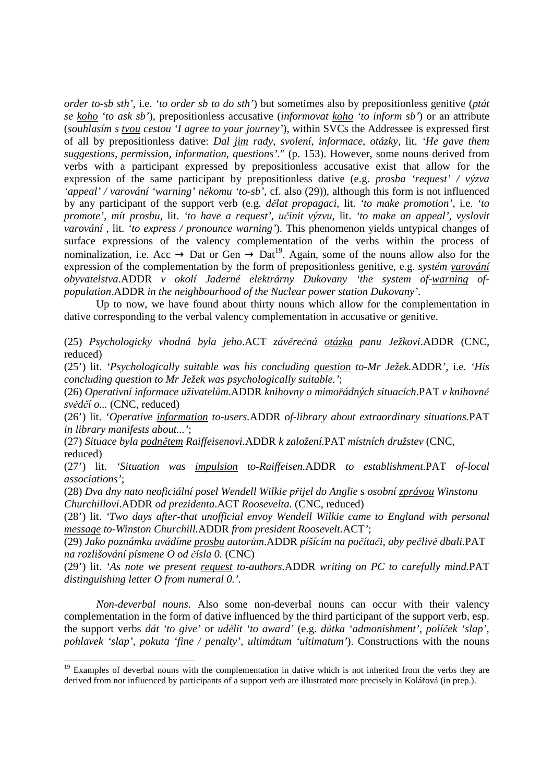*order to-sb sth'*, i.e. *'to order sb to do sth'*) but sometimes also by prepositionless genitive (*ptát se koho 'to ask sb'*), prepositionless accusative (*informovat koho 'to inform sb'*) or an attribute (*souhlasím s tvou cestou 'I agree to your journey'*), within SVCs the Addressee is expressed first of all by prepositionless dative: *Dal jim rady, svolení, informace, otázky*, lit. *'He gave them suggestions, permission, information, questions'*." (p. 153). However, some nouns derived from verbs with a participant expressed by prepositionless accusative exist that allow for the expression of the same participant by prepositionless dative (e.g. *prosba 'request' / výzva 'appeal' / varování 'warning' n*ě*komu 'to-sb'*, cf. also (29)), although this form is not influenced by any participant of the support verb (e.g. *d*ě*lat propagaci*, lit. *'to make promotion'*, i.e. *'to promote', mít prosbu*, lit. *'to have a request', u*č*init výzvu*, lit. *'to make an appeal', vyslovit varování* , lit. *'to express / pronounce warning'*). This phenomenon yields untypical changes of surface expressions of the valency complementation of the verbs within the process of nominalization, i.e. Acc  $\rightarrow$  Dat or Gen  $\rightarrow$  Dat<sup>19</sup>. Again, some of the nouns allow also for the expression of the complementation by the form of prepositionless genitive, e.g. *systém varování obyvatelstva*.ADDR *v okolí Jaderné elektrárny Dukovany 'the system of-warning ofpopulation*.ADDR *in the neighbourhood of the Nuclear power station Dukovany'*.

 Up to now, we have found about thirty nouns which allow for the complementation in dative corresponding to the verbal valency complementation in accusative or genitive.

(25) *Psychologicky vhodná byla jeho*.ACT *záv*ě*re*č*ná otázka panu Ježkovi*.ADDR (CNC, reduced)

(25') lit. *'Psychologically suitable was his concluding question to-Mr Ježek.*ADDR*'*, i.e. *'His concluding question to Mr Ježek was psychologically suitable.'*;

(26) *Operativní informace uživatel*ů*m*.ADDR *knihovny o mimo*ř*ádných situacích*.PAT *v knihovn*ě *sv*ě*d*č*í o...* (CNC, reduced)

(26') lit. *'Operative information to-users.*ADDR *of-library about extraordinary situations.*PAT *in library manifests about...'*;

(27) *Situace byla podn*ě*tem Raiffeisenovi.*ADDR *k založení.*PAT *místních družstev* (CNC, reduced)

(27') lit. *'Situation was impulsion to-Raiffeisen.*ADDR *to establishment.*PAT *of-local associations'*;

(28) *Dva dny nato neoficiální posel Wendell Wilkie p*ř*ijel do Anglie s osobní zprávou Winstonu Churchillovi*.ADDR *od prezidenta*.ACT *Roosevelta.* (CNC, reduced)

(28') lit. *'Two days after-that unofficial envoy Wendell Wilkie came to England with personal message to-Winston Churchill.*ADDR *from president Roosevelt.*ACT*'*;

(29) *Jako poznámku uvádíme prosbu autor*ů*m*.ADDR *píšícím na po*č*íta*č*i, aby pe*č*liv*ě *dbali.*PAT *na rozlišování písmene O od* č*ísla 0.* (CNC)

(29') lit. *'As note we present request to-authors.*ADDR *writing on PC to carefully mind.*PAT *distinguishing letter O from numeral 0.'.*

 *Non-deverbal nouns.* Also some non-deverbal nouns can occur with their valency complementation in the form of dative influenced by the third participant of the support verb, esp. the support verbs *dát 'to give'* or *ud*ě*lit 'to award'* (e.g. *d*ů*tka 'admonishment', polí*č*ek 'slap', pohlavek 'slap', pokuta 'fine / penalty', ultimátum 'ultimatum'*). Constructions with the nouns

 $\overline{a}$ 

<sup>&</sup>lt;sup>19</sup> Examples of deverbal nouns with the complementation in dative which is not inherited from the verbs they are derived from nor influenced by participants of a support verb are illustrated more precisely in Kolářová (in prep.).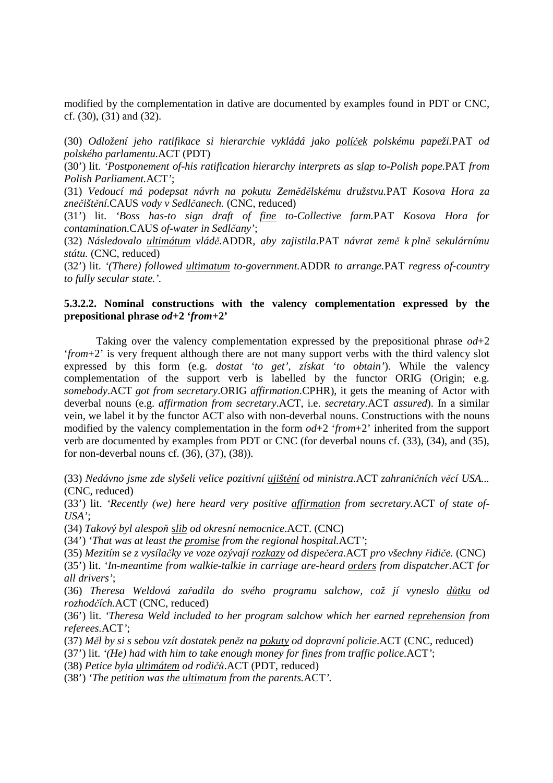modified by the complementation in dative are documented by examples found in PDT or CNC, cf. (30), (31) and (32).

(30) *Odložení jeho ratifikace si hierarchie vykládá jako polí*č*ek polskému papeži.*PAT *od polského parlamentu.*ACT (PDT)

(30') lit. *'Postponement of-his ratification hierarchy interprets as slap to-Polish pope.*PAT *from Polish Parliament.*ACT*'*;

(31) *Vedoucí má podepsat návrh na pokutu Zem*ě*d*ě*lskému družstvu.*PAT *Kosova Hora za zne*č*išt*ě*ní.*CAUS *vody v Sedl*č*anech.* (CNC, reduced)

(31') lit. *'Boss has-to sign draft of fine to-Collective farm.*PAT *Kosova Hora for contamination.*CAUS *of-water in Sedl*č*any'*;

(32) *Následovalo ultimátum vlád*ě.ADDR*, aby zajistila*.PAT *návrat zem*ě *k pln*ě *sekulárnímu státu.* (CNC, reduced)

(32') lit. *'(There) followed ultimatum to-government.*ADDR *to arrange.*PAT *regress of-country to fully secular state.'.*

# **5.3.2.2. Nominal constructions with the valency complementation expressed by the prepositional phrase** *od***+2 '***from***+2'**

 Taking over the valency complementation expressed by the prepositional phrase *od*+2 '*from*+2' is very frequent although there are not many support verbs with the third valency slot expressed by this form (e.g. *dostat 'to get', získat 'to obtain'*). While the valency complementation of the support verb is labelled by the functor ORIG (Origin; e.g. *somebody*.ACT *got from secretary*.ORIG *affirmation*.CPHR), it gets the meaning of Actor with deverbal nouns (e.g. *affirmation from secretary*.ACT, i.e. *secretary*.ACT *assured*). In a similar vein, we label it by the functor ACT also with non-deverbal nouns. Constructions with the nouns modified by the valency complementation in the form *od*+2 '*from*+2' inherited from the support verb are documented by examples from PDT or CNC (for deverbal nouns cf. (33), (34), and (35), for non-deverbal nouns cf. (36), (37), (38)).

(33) *Nedávno jsme zde slyšeli velice pozitivní ujišt*ě*ní od ministra*.ACT *zahrani*č*ních v*ě*cí USA...*  (CNC, reduced)

(33') lit. *'Recently (we) here heard very positive affirmation from secretary.*ACT *of state of-USA'*;

(34) *Takový byl alespo*ň *slib od okresní nemocnice*.ACT. (CNC)

(34') *'That was at least the promise from the regional hospital.*ACT*'*;

(35) *Mezitím se z vysíla*č*ky ve voze ozývají rozkazy od dispe*č*era.*ACT *pro všechny* ř*idi*č*e.* (CNC)

(35') lit. *'In-meantime from walkie-talkie in carriage are-heard orders from dispatcher.*ACT *for all drivers'*;

(36) *Theresa Weldová za*ř*adila do svého programu salchow, což jí vyneslo d*ů*tku od rozhod*č*ích.*ACT (CNC, reduced)

(36') lit. *'Theresa Weld included to her program salchow which her earned reprehension from referees.*ACT*'*;

(37) *M*ě*l by si s sebou vzít dostatek pen*ě*z na pokuty od dopravní policie*.ACT (CNC, reduced)

(37') lit. *'(He) had with him to take enough money for fines from traffic police.*ACT*'*;

(38) *Petice byla ultimátem od rodi*čů.ACT (PDT, reduced)

(38') *'The petition was the ultimatum from the parents.*ACT*'.*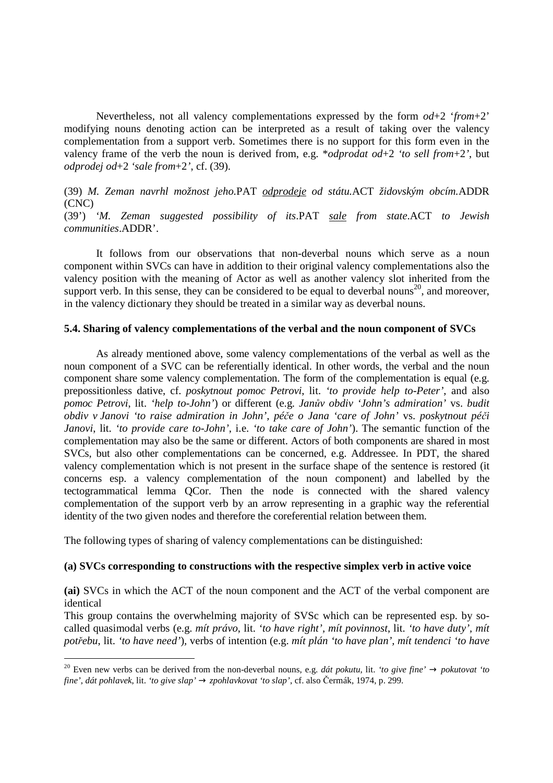Nevertheless, not all valency complementations expressed by the form *od*+2 '*from*+2' modifying nouns denoting action can be interpreted as a result of taking over the valency complementation from a support verb. Sometimes there is no support for this form even in the valency frame of the verb the noun is derived from, e.g. \**odprodat od*+2 *'to sell from*+2*'*, but *odprodej od*+2 *'sale from*+2*'*, cf. (39).

# (39) *M. Zeman navrhl možnost jeho.*PAT *odprodeje od státu.*ACT *židovským obcím.*ADDR (CNC)

(39') *'M. Zeman suggested possibility of its*.PAT *sale from state*.ACT *to Jewish communities*.ADDR'.

 It follows from our observations that non-deverbal nouns which serve as a noun component within SVCs can have in addition to their original valency complementations also the valency position with the meaning of Actor as well as another valency slot inherited from the support verb. In this sense, they can be considered to be equal to deverbal nouns<sup>20</sup>, and moreover, in the valency dictionary they should be treated in a similar way as deverbal nouns.

## **5.4. Sharing of valency complementations of the verbal and the noun component of SVCs**

 As already mentioned above, some valency complementations of the verbal as well as the noun component of a SVC can be referentially identical. In other words, the verbal and the noun component share some valency complementation. The form of the complementation is equal (e.g. prepossitionless dative, cf. *poskytnout pomoc Petrovi*, lit. *'to provide help to-Peter'*, and also *pomoc Petrovi*, lit. *'help to-John'*) or different (e.g. *Jan*ů*v obdiv 'John's admiration'* vs. *budit obdiv v Janovi 'to raise admiration in John', pé*č*e o Jana 'care of John'* vs. *poskytnout pé*č*i Janovi*, lit. *'to provide care to-John'*, i.e. *'to take care of John'*). The semantic function of the complementation may also be the same or different. Actors of both components are shared in most SVCs, but also other complementations can be concerned, e.g. Addressee. In PDT, the shared valency complementation which is not present in the surface shape of the sentence is restored (it concerns esp. a valency complementation of the noun component) and labelled by the tectogrammatical lemma QCor. Then the node is connected with the shared valency complementation of the support verb by an arrow representing in a graphic way the referential identity of the two given nodes and therefore the coreferential relation between them.

The following types of sharing of valency complementations can be distinguished:

 $\overline{a}$ 

# **(a) SVCs corresponding to constructions with the respective simplex verb in active voice**

**(ai)** SVCs in which the ACT of the noun component and the ACT of the verbal component are identical

This group contains the overwhelming majority of SVSc which can be represented esp. by socalled quasimodal verbs (e.g. *mít právo*, lit. *'to have right', mít povinnost*, lit. *'to have duty', mít pot*ř*ebu*, lit. *'to have need'*)*,* verbs of intention (e.g. *mít plán 'to have plan', mít tendenci 'to have* 

<sup>&</sup>lt;sup>20</sup> Even new verbs can be derived from the non-deverbal nouns, e.g. *dát pokutu*, lit. *'to give fine'*  $\rightarrow$  *pokutovat 'to fine'*, *dát pohlavek*, lit. *'to give slap'* → *zpohlavkovat 'to slap'*, cf. also Čermák, 1974, p. 299.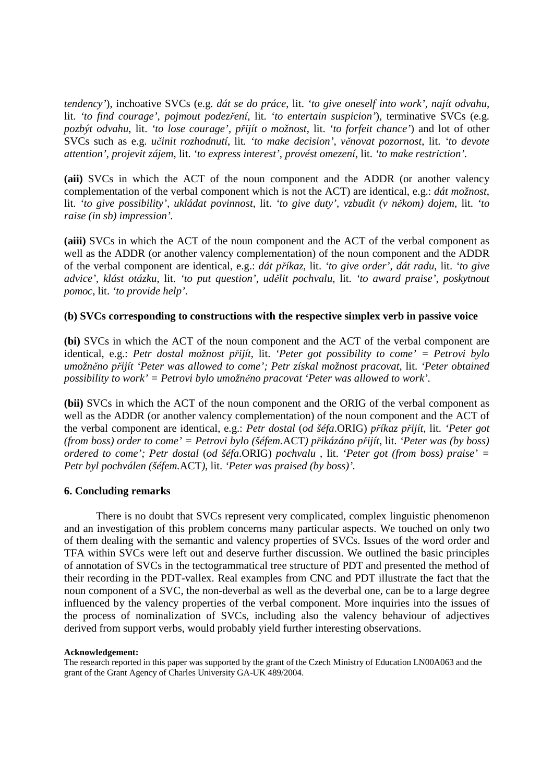*tendency'*), inchoative SVCs (e.g. *dát se do práce*, lit. *'to give oneself into work', najít odvahu,*  lit. *'to find courage', pojmout podez*ř*ení,* lit. *'to entertain suspicion'*), terminative SVCs (e.g. *pozbýt odvahu*, lit. *'to lose courage', p*ř*ijít o možnost*, lit. *'to forfeit chance'*) and lot of other SVCs such as e.g. *u*č*init rozhodnutí*, lit*. 'to make decision', v*ě*novat pozornost*, lit. *'to devote attention', projevit zájem*, lit. *'to express interest', provést omezení*, lit. *'to make restriction'.* 

**(aii)** SVCs in which the ACT of the noun component and the ADDR (or another valency complementation of the verbal component which is not the ACT) are identical, e.g.: *dát možnost*, lit. *'to give possibility', ukládat povinnost*, lit. *'to give duty', vzbudit (v n*ě*kom) dojem*, lit. *'to raise (in sb) impression'.* 

**(aiii)** SVCs in which the ACT of the noun component and the ACT of the verbal component as well as the ADDR (or another valency complementation) of the noun component and the ADDR of the verbal component are identical, e.g.: *dát p*ř*íkaz*, lit. *'to give order', dát radu*, lit. *'to give advice', klást otázku*, lit. *'to put question', ud*ě*lit pochvalu*, lit. *'to award praise', poskytnout pomoc*, lit. *'to provide help'.* 

## **(b) SVCs corresponding to constructions with the respective simplex verb in passive voice**

**(bi)** SVCs in which the ACT of the noun component and the ACT of the verbal component are identical, e.g.: *Petr dostal možnost p*ř*ijít*, lit. *'Peter got possibility to come' = Petrovi bylo umožn*ě*no p*ř*ijít 'Peter was allowed to come'; Petr získal možnost pracovat*, lit. *'Peter obtained possibility to work' = Petrovi bylo umožn*ě*no pracovat 'Peter was allowed to work'.*

**(bii)** SVCs in which the ACT of the noun component and the ORIG of the verbal component as well as the ADDR (or another valency complementation) of the noun component and the ACT of the verbal component are identical, e.g.: *Petr dostal* (*od šéfa*.ORIG) *p*ř*íkaz p*ř*ijít*, lit. *'Peter got (from boss) order to come' = Petrovi bylo (šéfem.*ACT*) p*ř*ikázáno p*ř*ijít*, lit. *'Peter was (by boss) ordered to come'; Petr dostal* (*od šéfa*.ORIG) *pochvalu* , lit. *'Peter got (from boss) praise' = Petr byl pochválen (šéfem.*ACT*)*, lit. *'Peter was praised (by boss)'.*

# **6. Concluding remarks**

 There is no doubt that SVCs represent very complicated, complex linguistic phenomenon and an investigation of this problem concerns many particular aspects. We touched on only two of them dealing with the semantic and valency properties of SVCs. Issues of the word order and TFA within SVCs were left out and deserve further discussion. We outlined the basic principles of annotation of SVCs in the tectogrammatical tree structure of PDT and presented the method of their recording in the PDT-vallex. Real examples from CNC and PDT illustrate the fact that the noun component of a SVC, the non-deverbal as well as the deverbal one, can be to a large degree influenced by the valency properties of the verbal component. More inquiries into the issues of the process of nominalization of SVCs, including also the valency behaviour of adjectives derived from support verbs, would probably yield further interesting observations.

#### **Acknowledgement:**

The research reported in this paper was supported by the grant of the Czech Ministry of Education LN00A063 and the grant of the Grant Agency of Charles University GA-UK 489/2004.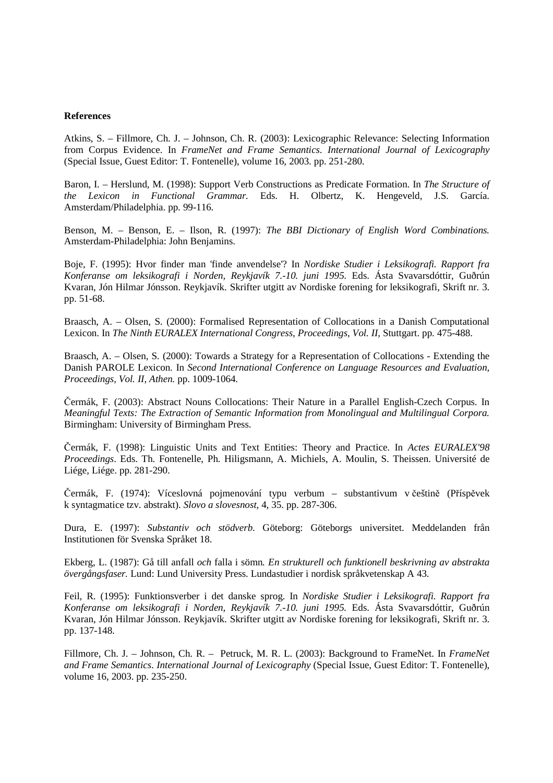#### **References**

Atkins, S. – Fillmore, Ch. J. – Johnson, Ch. R. (2003): Lexicographic Relevance: Selecting Information from Corpus Evidence. In *FrameNet and Frame Semantics*. *International Journal of Lexicography* (Special Issue, Guest Editor: T. Fontenelle), volume 16, 2003. pp. 251-280.

Baron, I. – Herslund, M. (1998): Support Verb Constructions as Predicate Formation. In *The Structure of the Lexicon in Functional Grammar.* Eds. H. Olbertz, K. Hengeveld, J.S. García. Amsterdam/Philadelphia. pp. 99-116.

Benson, M. – Benson, E. – Ilson, R. (1997): *The BBI Dictionary of English Word Combinations.* Amsterdam-Philadelphia: John Benjamins.

Boje, F. (1995): Hvor finder man 'finde anvendelse'? In *Nordiske Studier i Leksikografi. Rapport fra Konferanse om leksikografi i Norden, Reykjavík 7.-10. juni 1995*. Eds. Ásta Svavarsdóttir, Guðrún Kvaran, Jón Hilmar Jónsson. Reykjavík. Skrifter utgitt av Nordiske forening for leksikografi, Skrift nr. 3. pp. 51-68.

Braasch, A. – Olsen, S. (2000): Formalised Representation of Collocations in a Danish Computational Lexicon. In *The Ninth EURALEX International Congress, Proceedings, Vol. II,* Stuttgart. pp. 475-488.

Braasch, A. – Olsen, S. (2000): Towards a Strategy for a Representation of Collocations - Extending the Danish PAROLE Lexicon. In *Second International Conference on Language Resources and Evaluation, Proceedings, Vol. II, Athen.* pp. 1009-1064.

Čermák, F. (2003): Abstract Nouns Collocations: Their Nature in a Parallel English-Czech Corpus. In *Meaningful Texts: The Extraction of Semantic Information from Monolingual and Multilingual Corpora.* Birmingham: University of Birmingham Press.

Čermák, F. (1998): Linguistic Units and Text Entities: Theory and Practice. In *Actes EURALEX'98 Proceedings*. Eds. Th. Fontenelle, Ph. Hiligsmann, A. Michiels, A. Moulin, S. Theissen. Université de Liége, Liége. pp. 281-290.

Čermák, F. (1974): Víceslovná pojmenování typu verbum – substantivum v češtině (Příspěvek k syntagmatice tzv. abstrakt). *Slovo a slovesnost*, 4, 35. pp. 287-306.

Dura, E. (1997): *Substantiv och stödverb*. Göteborg: Göteborgs universitet. Meddelanden från Institutionen för Svenska Språket 18.

Ekberg, L. (1987): Gå till anfall *och* falla i sömn*. En strukturell och funktionell beskrivning av abstrakta övergångsfaser.* Lund: Lund University Press. Lundastudier i nordisk språkvetenskap A 43.

Feil, R. (1995): Funktionsverber i det danske sprog. In *Nordiske Studier i Leksikografi. Rapport fra Konferanse om leksikografi i Norden, Reykjavík 7.-10. juni 1995.* Eds. Ásta Svavarsdóttir, Guðrún Kvaran, Jón Hilmar Jónsson. Reykjavík. Skrifter utgitt av Nordiske forening for leksikografi, Skrift nr. 3. pp. 137-148.

Fillmore, Ch. J. – Johnson, Ch. R. – Petruck, M. R. L. (2003): Background to FrameNet. In *FrameNet and Frame Semantics*. *International Journal of Lexicography* (Special Issue, Guest Editor: T. Fontenelle), volume 16, 2003. pp. 235-250.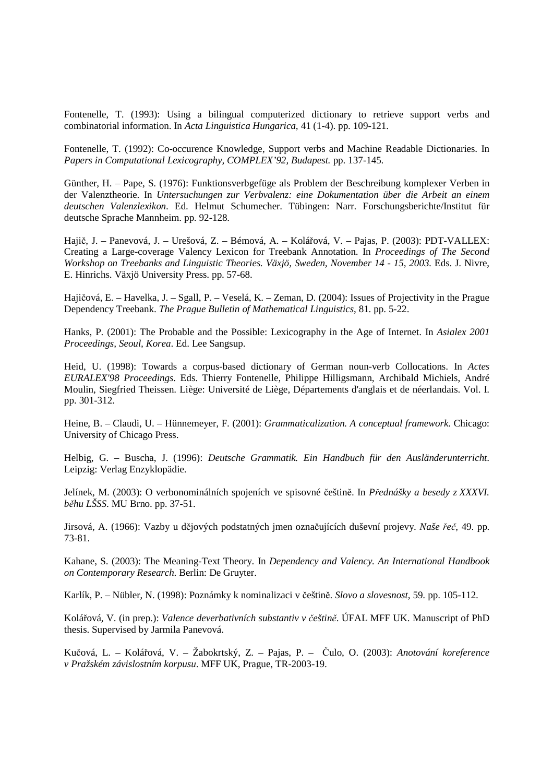Fontenelle, T. (1993): Using a bilingual computerized dictionary to retrieve support verbs and combinatorial information. In *Acta Linguistica Hungarica,* 41 (1-4). pp. 109-121.

Fontenelle, T. (1992): Co-occurence Knowledge, Support verbs and Machine Readable Dictionaries. In *Papers in Computational Lexicography, COMPLEX'92, Budapest.* pp. 137-145.

Günther, H. – Pape, S. (1976): Funktionsverbgefüge als Problem der Beschreibung komplexer Verben in der Valenztheorie. In *Untersuchungen zur Verbvalenz: eine Dokumentation über die Arbeit an einem deutschen Valenzlexikon*. Ed. Helmut Schumecher. Tübingen: Narr. Forschungsberichte/Institut für deutsche Sprache Mannheim. pp. 92-128.

Hajič, J. – Panevová, J. – Urešová, Z. – Bémová, A. – Kolářová, V. – Pajas, P. (2003): PDT-VALLEX: Creating a Large-coverage Valency Lexicon for Treebank Annotation. In *Proceedings of The Second Workshop on Treebanks and Linguistic Theories. Växjö, Sweden, November 14 - 15, 2003.* Eds. J. Nivre, E. Hinrichs. Växjö University Press. pp. 57-68.

Hajičová, E. – Havelka, J. – Sgall, P. – Veselá, K. – Zeman, D. (2004): Issues of Projectivity in the Prague Dependency Treebank. *The Prague Bulletin of Mathematical Linguistics*, 81. pp. 5-22.

Hanks, P. (2001): The Probable and the Possible: Lexicography in the Age of Internet. In *Asialex 2001 Proceedings, Seoul, Korea*. Ed. Lee Sangsup.

Heid, U. (1998): Towards a corpus-based dictionary of German noun-verb Collocations. In *Actes EURALEX'98 Proceedings*. Eds. Thierry Fontenelle, Philippe Hilligsmann, Archibald Michiels, André Moulin, Siegfried Theissen. Liège: Université de Liège, Départements d'anglais et de néerlandais. Vol. I. pp. 301-312.

Heine, B. – Claudi, U. – Hünnemeyer, F. (2001): *Grammaticalization. A conceptual framework*. Chicago: University of Chicago Press.

Helbig, G. – Buscha, J. (1996): *Deutsche Grammatik. Ein Handbuch für den Ausländerunterricht*. Leipzig: Verlag Enzyklopädie.

Jelínek, M. (2003): O verbonominálních spojeních ve spisovné češtině. In *P*ř*ednášky a besedy z XXXVI. b*ě*hu LŠSS*. MU Brno. pp. 37-51.

Jirsová, A. (1966): Vazby u dějových podstatných jmen označujících duševní projevy. *Naše* ř*e*č, 49. pp. 73-81.

Kahane, S. (2003): The Meaning-Text Theory. In *Dependency and Valency. An International Handbook on Contemporary Research*. Berlin: De Gruyter.

Karlík, P. – Nübler, N. (1998): Poznámky k nominalizaci v češtině. *Slovo a slovesnost*, 59. pp. 105-112.

Kolářová, V. (in prep.): *Valence deverbativních substantiv v* č*eštin*ě. ÚFAL MFF UK. Manuscript of PhD thesis. Supervised by Jarmila Panevová.

Kučová, L. – Kolářová, V. – Žabokrtský, Z. – Pajas, P. – Čulo, O. (2003): *Anotování koreference v Pražském závislostním korpusu*. MFF UK, Prague, TR-2003-19.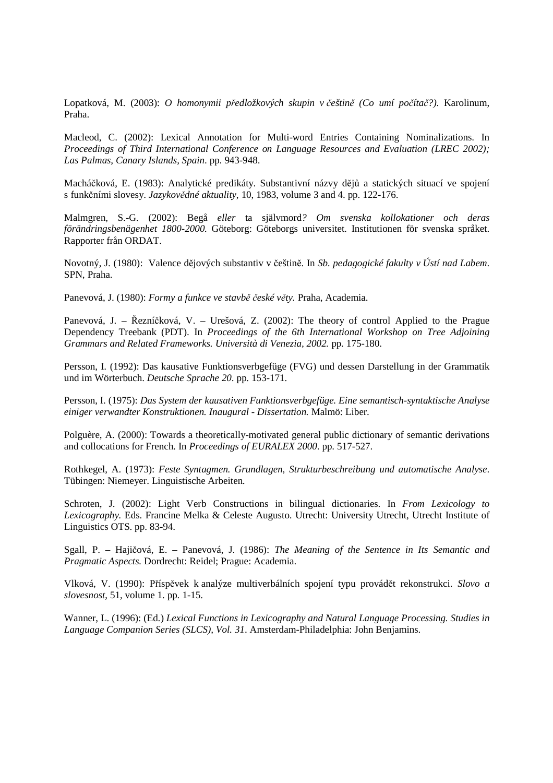Lopatková, M. (2003): *O homonymii p*ř*edložkových skupin v* č*eštin*ě *(Co umí po*č*íta*č*?)*. Karolinum, Praha.

Macleod, C. (2002): Lexical Annotation for Multi-word Entries Containing Nominalizations. In *Proceedings of Third International Conference on Language Resources and Evaluation (LREC 2002); Las Palmas, Canary Islands, Spain*. pp. 943-948.

Macháčková, E. (1983): Analytické predikáty. Substantivní názvy dějů a statických situací ve spojení s funkčními slovesy. *Jazykov*ě*dné aktuality*, 10, 1983, volume 3 and 4. pp. 122-176.

Malmgren, S.-G. (2002): Begå *eller* ta självmord*? Om svenska kollokationer och deras förändringsbenägenhet 1800-2000.* Göteborg: Göteborgs universitet. Institutionen för svenska språket. Rapporter från ORDAT.

Novotný, J. (1980): Valence dějových substantiv v češtině. In *Sb. pedagogické fakulty v Ústí nad Labem*. SPN, Praha.

Panevová, J. (1980): *Formy a funkce ve stavb*ě č*eské v*ě*ty.* Praha, Academia.

Panevová, J. – Řezníčková, V. – Urešová, Z. (2002): The theory of control Applied to the Prague Dependency Treebank (PDT). In *Proceedings of the 6th International Workshop on Tree Adjoining Grammars and Related Frameworks. Università di Venezia, 2002.* pp. 175-180.

Persson, I. (1992): Das kausative Funktionsverbgefüge (FVG) und dessen Darstellung in der Grammatik und im Wörterbuch. *Deutsche Sprache 20*. pp. 153-171.

Persson, I. (1975): *Das System der kausativen Funktionsverbgefüge. Eine semantisch-syntaktische Analyse einiger verwandter Konstruktionen. Inaugural - Dissertation.* Malmö: Liber.

Polguère, A. (2000): Towards a theoretically-motivated general public dictionary of semantic derivations and collocations for French. In *Proceedings of EURALEX 2000*. pp. 517-527.

Rothkegel, A. (1973): *Feste Syntagmen. Grundlagen, Strukturbeschreibung und automatische Analyse*. Tübingen: Niemeyer. Linguistische Arbeiten.

Schroten, J. (2002): Light Verb Constructions in bilingual dictionaries. In *From Lexicology to Lexicography.* Eds. Francine Melka & Celeste Augusto. Utrecht: University Utrecht, Utrecht Institute of Linguistics OTS. pp. 83-94.

Sgall, P. – Hajičová, E. – Panevová, J. (1986): *The Meaning of the Sentence in Its Semantic and Pragmatic Aspects.* Dordrecht: Reidel; Prague: Academia.

Vlková, V. (1990): Příspěvek k analýze multiverbálních spojení typu provádět rekonstrukci. *Slovo a slovesnost*, 51, volume 1. pp. 1-15.

Wanner, L. (1996): (Ed.) *Lexical Functions in Lexicography and Natural Language Processing. Studies in Language Companion Series (SLCS), Vol. 31*. Amsterdam-Philadelphia: John Benjamins.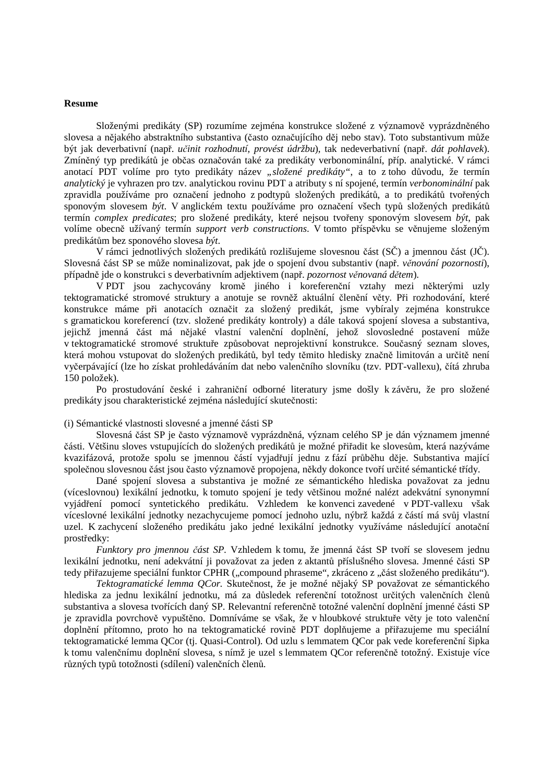#### **Resume**

 Složenými predikáty (SP) rozumíme zejména konstrukce složené z významově vyprázdněného slovesa a nějakého abstraktního substantiva (často označujícího děj nebo stav). Toto substantivum může být jak deverbativní (např. *u*č*init rozhodnutí, provést údržbu*), tak nedeverbativní (např. *dát pohlavek*). Zmíněný typ predikátů je občas označován také za predikáty verbonominální, příp. analytické. V rámci anotací PDT volíme pro tyto predikáty název "složené predikáty", a to z toho důvodu, že termín *analytický* je vyhrazen pro tzv. analytickou rovinu PDT a atributy s ní spojené, termín *verbonominální* pak zpravidla používáme pro označení jednoho z podtypů složených predikátů, a to predikátů tvořených sponovým slovesem *být*. V anglickém textu používáme pro označení všech typů složených predikátů termín *complex predicates*; pro složené predikáty, které nejsou tvořeny sponovým slovesem *být*, pak volíme obecně užívaný termín *support verb constructions*. V tomto příspěvku se věnujeme složeným predikátům bez sponového slovesa *být*.

 V rámci jednotlivých složených predikátů rozlišujeme slovesnou část (SČ) a jmennou část (JČ). Slovesná část SP se může nominalizovat, pak jde o spojení dvou substantiv (např. *v*ě*nování pozornosti*), případně jde o konstrukci s deverbativním adjektivem (např. *pozornost v*ě*novaná d*ě*tem*).

 V PDT jsou zachycovány kromě jiného i koreferenční vztahy mezi některými uzly tektogramatické stromové struktury a anotuje se rovněž aktuální členění věty. Při rozhodování, které konstrukce máme při anotacích označit za složený predikát, jsme vybíraly zejména konstrukce s gramatickou koreferencí (tzv. složené predikáty kontroly) a dále taková spojení slovesa a substantiva, jejichž jmenná část má nějaké vlastní valenční doplnění, jehož slovosledné postavení může v tektogramatické stromové struktuře způsobovat neprojektivní konstrukce. Současný seznam sloves, která mohou vstupovat do složených predikátů, byl tedy těmito hledisky značně limitován a určitě není vyčerpávající (lze ho získat prohledáváním dat nebo valenčního slovníku (tzv. PDT-vallexu), čítá zhruba 150 položek).

 Po prostudování české i zahraniční odborné literatury jsme došly k závěru, že pro složené predikáty jsou charakteristické zejména následující skutečnosti:

#### (i) Sémantické vlastnosti slovesné a jmenné části SP

 Slovesná část SP je často významově vyprázdněná, význam celého SP je dán významem jmenné části. Většinu sloves vstupujících do složených predikátů je možné přiřadit ke slovesům, která nazýváme kvazifázová, protože spolu se jmennou částí vyjadřují jednu z fází průběhu děje. Substantiva mající společnou slovesnou část jsou často významově propojena, někdy dokonce tvoří určité sémantické třídy.

 Dané spojení slovesa a substantiva je možné ze sémantického hlediska považovat za jednu (víceslovnou) lexikální jednotku, k tomuto spojení je tedy většinou možné nalézt adekvátní synonymní vyjádření pomocí syntetického predikátu. Vzhledem ke konvenci zavedené v PDT-vallexu však víceslovné lexikální jednotky nezachycujeme pomocí jednoho uzlu, nýbrž každá z částí má svůj vlastní uzel. K zachycení složeného predikátu jako jedné lexikální jednotky využíváme následující anotační prostředky:

 *Funktory pro jmennou* č*ást SP.* Vzhledem k tomu, že jmenná část SP tvoří se slovesem jednu lexikální jednotku, není adekvátní ji považovat za jeden z aktantů příslušného slovesa. Jmenné části SP tedy přiřazujeme speciální funktor CPHR ("compound phraseme", zkráceno z "část složeného predikátu").

 *Tektogramatické lemma QCor.* Skutečnost, že je možné nějaký SP považovat ze sémantického hlediska za jednu lexikální jednotku, má za důsledek referenční totožnost určitých valenčních členů substantiva a slovesa tvořících daný SP. Relevantní referenčně totožné valenční doplnění jmenné části SP je zpravidla povrchově vypuštěno. Domníváme se však, že v hloubkové struktuře věty je toto valenční doplnění přítomno, proto ho na tektogramatické rovině PDT doplňujeme a přiřazujeme mu speciální tektogramatické lemma QCor (tj. Quasi-Control). Od uzlu s lemmatem QCor pak vede koreferenční šipka k tomu valenčnímu doplnění slovesa, s nímž je uzel s lemmatem QCor referenčně totožný. Existuje více různých typů totožnosti (sdílení) valenčních členů.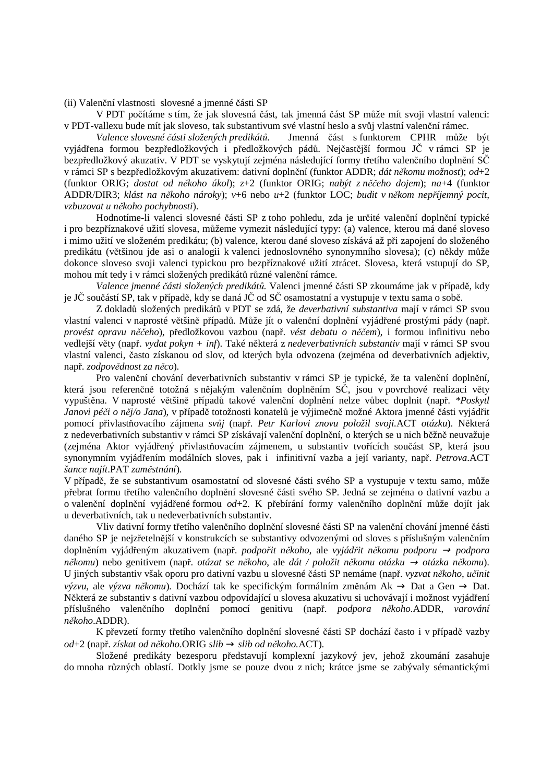(ii) Valenční vlastnosti slovesné a jmenné části SP

 V PDT počítáme s tím, že jak slovesná část, tak jmenná část SP může mít svoji vlastní valenci: v PDT-vallexu bude mít jak sloveso, tak substantivum své vlastní heslo a svůj vlastní valenční rámec.<br>Valence slovesné části složených predikátů. Jmenná část s funktorem CPHR může

 *Valence slovesné* č*ásti složených predikát*ů*.* Jmenná část s funktorem CPHR může být vyjádřena formou bezpředložkových i předložkových pádů. Nejčastější formou JČ v rámci SP je bezpředložkový akuzativ. V PDT se vyskytují zejména následující formy třetího valenčního doplnění SČ v rámci SP s bezpředložkovým akuzativem: dativní doplnění (funktor ADDR; *dát n*ě*komu možnost*); *od*+2 (funktor ORIG; *dostat od n*ě*koho úkol*); *z*+2 (funktor ORIG; *nabýt z n*ěč*eho dojem*); *na*+4 (funktor ADDR/DIR3; *klást na n*ě*koho nároky*); *v*+6 nebo *u*+2 (funktor LOC; *budit v n*ě*kom nep*ř*íjemný pocit, vzbuzovat u n*ě*koho pochybnosti*).

 Hodnotíme-li valenci slovesné části SP z toho pohledu, zda je určité valenční doplnění typické i pro bezpříznakové užití slovesa, můžeme vymezit následující typy: (a) valence, kterou má dané sloveso i mimo užití ve složeném predikátu; (b) valence, kterou dané sloveso získává až při zapojení do složeného predikátu (většinou jde asi o analogii k valenci jednoslovného synonymního slovesa); (c) někdy může dokonce sloveso svoji valenci typickou pro bezpříznakové užití ztrácet. Slovesa, která vstupují do SP, mohou mít tedy i v rámci složených predikátů různé valenční rámce.

 *Valence jmenné* č*ásti složených predikát*ů*.* Valenci jmenné části SP zkoumáme jak v případě, kdy je JČ součástí SP, tak v případě, kdy se daná JČ od SČ osamostatní a vystupuje v textu sama o sobě.

 Z dokladů složených predikátů v PDT se zdá, že *deverbativní substantiva* mají v rámci SP svou vlastní valenci v naprosté většině případů. Může jít o valenční doplnění vyjádřené prostými pády (např. *provést opravu n*ěč*eho*), předložkovou vazbou (např. *vést debatu o n*ěč*em*), i formou infinitivu nebo vedlejší věty (např. *vydat pokyn + inf*). Také některá z *nedeverbativních substantiv* mají v rámci SP svou vlastní valenci, často získanou od slov, od kterých byla odvozena (zejména od deverbativních adjektiv, např. *zodpov*ě*dnost za n*ě*co*)*.*

 Pro valenční chování deverbativních substantiv v rámci SP je typické, že ta valenční doplnění, která jsou referenčně totožná s nějakým valenčním doplněním SČ, jsou v povrchové realizaci věty vypuštěna. V naprosté většině případů takové valenční doplnění nelze vůbec doplnit (např. *\*Poskytl Janovi pé*č*i o n*ě*j/o Jana*), v případě totožnosti konatelů je výjimečně možné Aktora jmenné části vyjádřit pomocí přivlastňovacího zájmena *sv*ů*j* (např. *Petr Karlovi znovu položil svoji.*ACT *otázku*). Některá z nedeverbativních substantiv v rámci SP získávají valenční doplnění, o kterých se u nich běžně neuvažuje (zejména Aktor vyjádřený přivlastňovacím zájmenem, u substantiv tvořících součást SP, která jsou synonymním vyjádřením modálních sloves, pak i infinitivní vazba a její varianty, např. *Petrova*.ACT *šance najít*.PAT *zam*ě*stnání*).

V případě, že se substantivum osamostatní od slovesné části svého SP a vystupuje v textu samo, může přebrat formu třetího valenčního doplnění slovesné části svého SP. Jedná se zejména o dativní vazbu a o valenční doplnění vyjádřené formou *od*+2. K přebírání formy valenčního doplnění může dojít jak u deverbativních, tak u nedeverbativních substantiv.

 Vliv dativní formy třetího valenčního doplnění slovesné části SP na valenční chování jmenné části daného SP je nejzřetelnější v konstrukcích se substantivy odvozenými od sloves s příslušným valenčním doplněním vyjádřeným akuzativem (např. *podpo*ř*it n*ě*koho*, ale *vyjád*ř*it n*ě*komu podporu* <sup>→</sup> *podpora n*ě*komu*) nebo genitivem (např. *otázat se n*ě*koho*, ale *dát / položit n*ě*komu otázku* → *otázka n*ě*komu*). U jiných substantiv však oporu pro dativní vazbu u slovesné části SP nemáme (např. *vyzvat n*ě*koho*, *u*č*init výzvu*, ale *výzva n*ě*komu*)*.* Dochází tak ke specifickým formálním změnám Ak → Dat a Gen → Dat. Některá ze substantiv s dativní vazbou odpovídající u slovesa akuzativu si uchovávají i možnost vyjádření příslušného valenčního doplnění pomocí genitivu (např. *podpora n*ě*koho*.ADDR, *varování n*ě*koho*.ADDR).

 K převzetí formy třetího valenčního doplnění slovesné části SP dochází často i v případě vazby *od*+2 (např. *získat od n*ě*koho*.ORIG *slib* → *slib od n*ě*koho.*ACT).

 Složené predikáty bezesporu představují komplexní jazykový jev, jehož zkoumání zasahuje do mnoha různých oblastí. Dotkly jsme se pouze dvou z nich; krátce jsme se zabývaly sémantickými